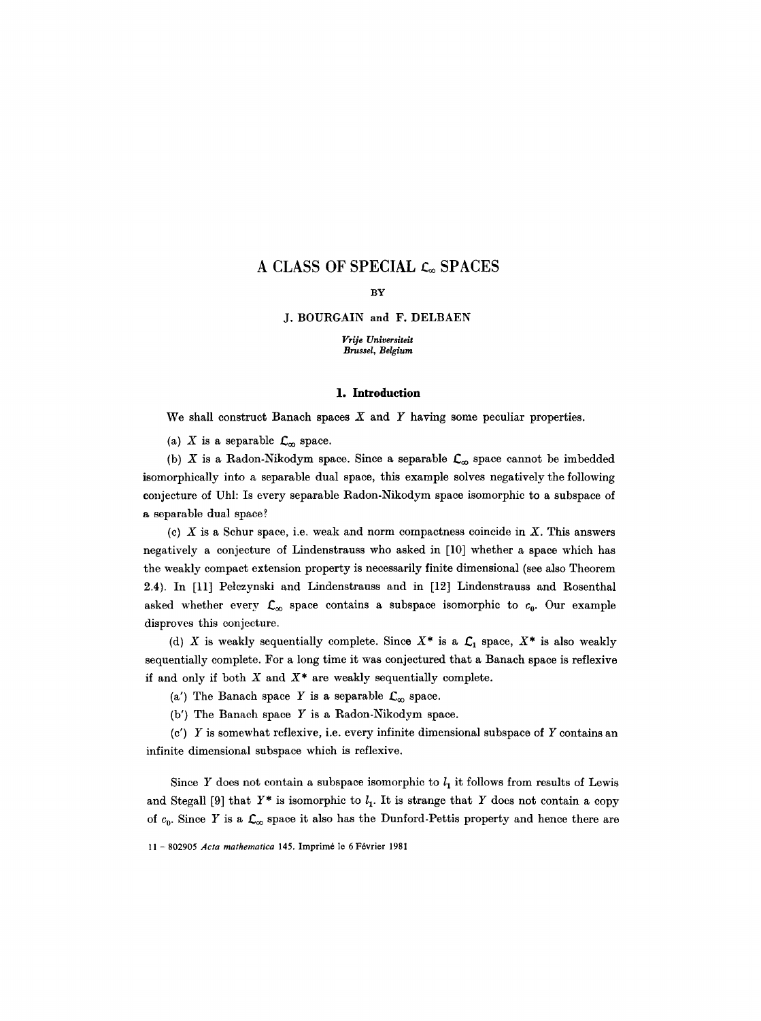# A CLASS OF SPECIAL  $c_{\infty}$  SPACES

#### BY

J. BOURGAIN and F. DELBAEN

*Vrije Universiteit Brussel, Belgium* 

#### 1. **Introduction**

We shall construct Banach spaces  $X$  and  $Y$  having some peculiar properties.

(a) X is a separable  $\mathcal{L}_{\infty}$  space.

(b) X is a Radon-Nikodym space. Since a separable  $\mathcal{L}_{\infty}$  space cannot be imbedded isomorphically into a separable dual space, this example solves negatively the following conjecture of Uhl: Is every separable Radon-Nikodym space isomorphic to a subspace of a separable dual space?

(c)  $X$  is a Schur space, i.e. weak and norm compactness coincide in  $X$ . This answers negatively a conjecture of Lindenstrauss who asked in [10] whether a space which has the weakly compact extension property is necessarily finite dimensional (see also Theorem 2.4). In [11] Petczynski and Lindenstrauss and in [12] Lindenstrauss and Rosenthal asked whether every  $\mathcal{L}_{\infty}$  space contains a subspace isomorphic to  $c_0$ . Our example disproves this conjecture.

(d) X is weakly sequentially complete. Since  $X^*$  is a  $C_1$  space,  $X^*$  is also weakly sequentially complete. For a long time it was conjectured that a Banach space is reflexive if and only if both  $X$  and  $X^*$  are weakly sequentially complete.

(a') The Banach space Y is a separable  $\mathcal{L}_{\infty}$  space.

 $(b')$  The Banach space Y is a Radon-Nikodym space.

 $(c')$  Y is somewhat reflexive, i.e. every infinite dimensional subspace of Y contains an infinite dimensional subspace which is reflexive.

Since Y does not contain a subspace isomorphic to  $l_1$  it follows from results of Lewis and Stegall [9] that  $Y^*$  is isomorphic to  $l_1$ . It is strange that Y does not contain a copy of  $c_0$ . Since Y is a  $\mathcal{L}_{\infty}$  space it also has the Dunford-Pettis property and hence there are

<sup>11 -802905</sup> *Acta mathematica* 145. Imprim6 le 6 F6vrier 1981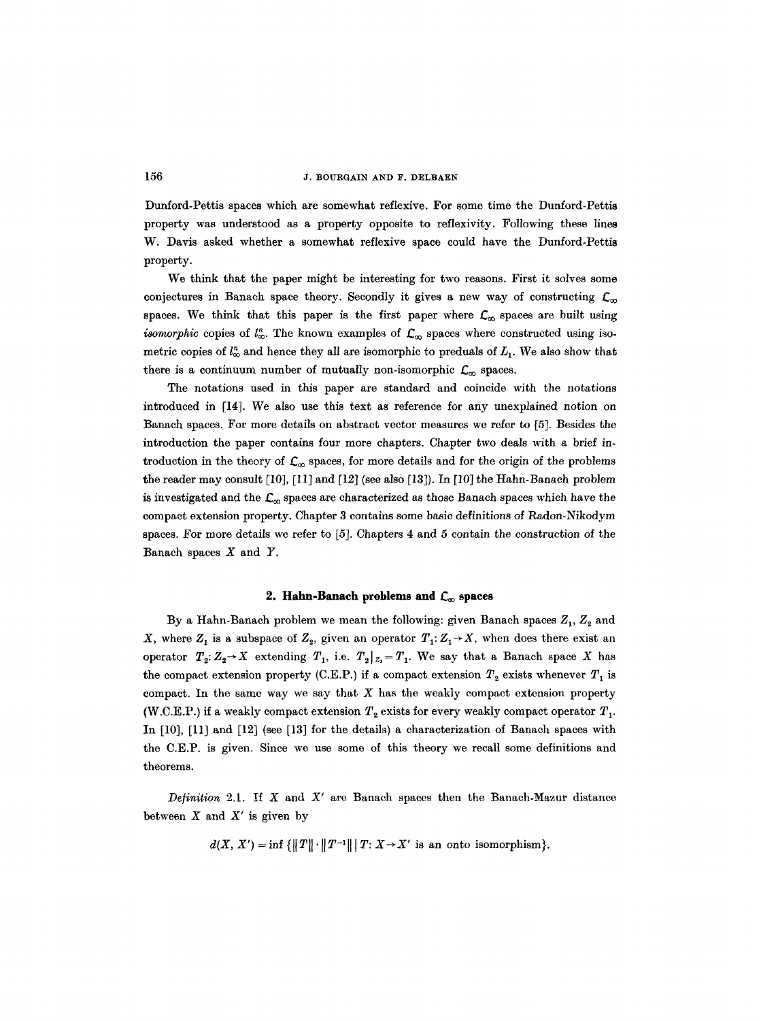Dunford-Pettis spaces which are somewhat reflexive. For some time the Dunford-Pettis property was understood as a property opposite to reflexivity. Following these lines W. Davis asked whether a somewhat reflexive space could have the Dunford-Pettis property.

We think that the paper might be interesting for two reasons. First it solves some conjectures in Banach space theory. Secondly it gives a new way of constructing  $\mathcal{L}_{\infty}$ spaces. We think that this paper is the first paper where  $\mathcal{L}_{\infty}$  spaces are built using *isomorphic* copies of  $l^*_{\infty}$ . The known examples of  $\mathcal{L}_{\infty}$  spaces where constructed using isometric copies of  $l_{\infty}^{n}$  and hence they all are isomorphic to preduals of  $L_1$ . We also show that there is a continuum number of mutually non-isomorphic  $\mathcal{L}_{\infty}$  spaces.

The notations used in this paper are standard and coincide with the notations introduced in [14]. We also use this text as reference for any unexplained notion on Banach spaces. For more details on abstract vector measures we refer to [5]. Besides the introduction the paper contains four more chapters. Chapter two deals with a brief introduction in the theory of  $\mathcal{L}_{\infty}$  spaces, for more details and for the origin of the problems the reader may consult [10], [11] and [12] (see also [13]). In [10] the Hahn-Banaeh problem is investigated and the  $\mathcal{L}_{\infty}$  spaces are characterized as those Banach spaces which have the compact extension property. Chapter 3 contains some basic definitions of Radon-Nikodym spaces. For more details we refer to [5]. Chapters 4 and 5 contain the construction of the Banach spaces  $X$  and  $Y$ .

## 2. Hahn-Banach problems and  $C_{\infty}$  spaces

By a Hahn-Banach problem we mean the following: given Banach spaces  $Z_1, Z_2$  and X, where  $Z_1$  is a subspace of  $Z_2$ , given an operator  $T_1: Z_1 \rightarrow X$ , when does there exist an operator  $T_2: Z_2 \rightarrow X$  extending  $T_1$ , i.e.  $T_2|_{Z_1} = T_1$ . We say that a Banach space X has the compact extension property (C.E.P.) if a compact extension  $T_2$  exists whenever  $T_1$  is compact. In the same way we say that  $X$  has the weakly compact extension property (W.C.E.P.) if a weakly compact extension  $T_2$  exists for every weakly compact operator  $T_1$ . In [10], [11] and [12] (see [13] for the details) a characterization of Banach spaces with the C.E.P. is given. Since we use some of this theory we recall some definitions and theorems.

*Definition* 2.1. If X and X' are Banach spaces then the Banach-Mazur distance between  $X$  and  $X'$  is given by

 $d(X, X') = \inf \{||T|| \cdot ||T^{-1}|| \mid T: X \to X' \text{ is an onto isomorphism}\}.$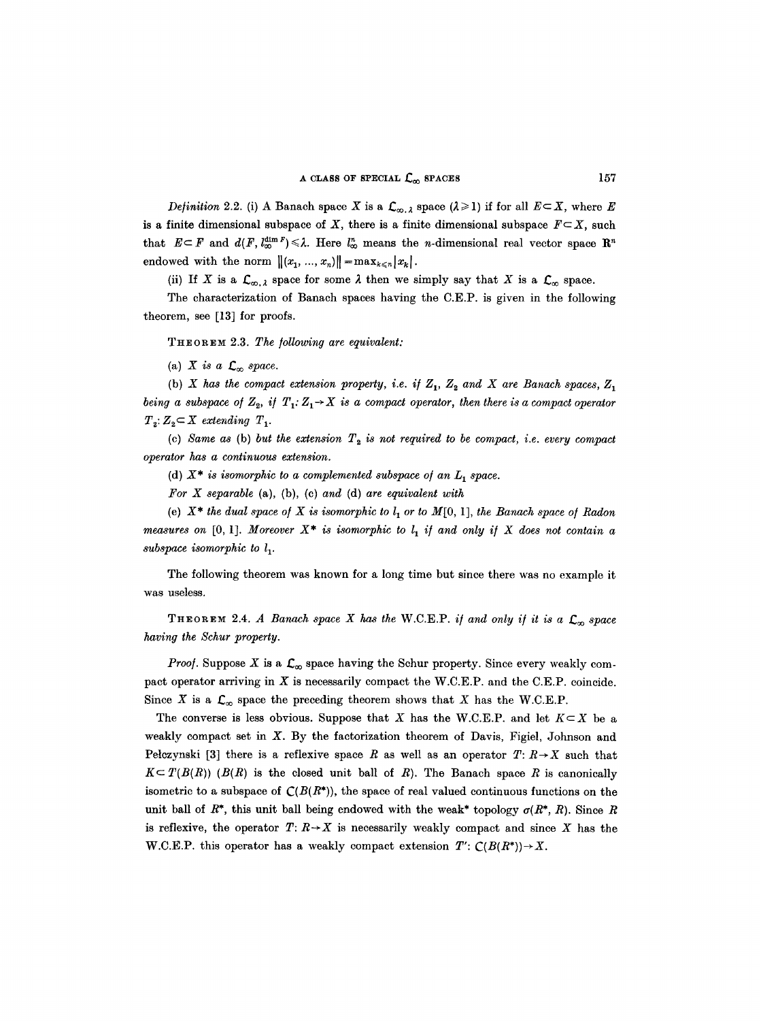*Definition 2.2.* (i) A Banach space X is a  $\mathcal{L}_{\infty,\lambda}$  space  $(\lambda \geq 1)$  if for all  $E \subset X$ , where E is a finite dimensional subspace of X, there is a finite dimensional subspace  $F \subseteq X$ , such that  $E \subseteq F$  and  $d(F, l_{\infty}^{\dim F}) \leq \lambda$ . Here  $l_{\infty}^n$  means the *n*-dimensional real vector space  $\mathbb{R}^n$ endowed with the norm  $||(x_1, ..., x_n)|| = \max_{k \leq n} |x_k|.$ 

(ii) If X is a  $\mathcal{L}_{\infty,\lambda}$  space for some  $\lambda$  then we simply say that X is a  $\mathcal{L}_{\infty}$  space.

The characterization of Banach spaces having the C.E.P. is given in the following theorem, see [13] for proofs.

THEOREM 2.3. *The following are equivalent:* 

(a)  $X$  is a  $\mathcal{L}_{\infty}$  space.

(b) *X* has the compact extension property, i.e. if  $Z_1$ ,  $Z_2$  and *X* are Banach spaces,  $Z_1$ *being a subspace of*  $Z_2$ *, if*  $T_1: Z_1 \rightarrow X$  *is a compact operator, then there is a compact operator*  $T_2$ :  $Z_2 \subset X$  extending  $T_1$ .

(c) Same as (b) but the extension  $T_2$  is not required to be compact, i.e. every compact *operator has a continuous extension.* 

(d)  $X^*$  is isomorphic to a complemented subspace of an  $L_1$  space.

*\_For X separable* (a), (b), (c) *and* (d) *are equivalent with* 

(e)  $X^*$  the dual space of X is isomorphic to  $l_1$  or to  $M[0, 1]$ , the Banach space of Radon *measures on* [0, 1]. *Moreover*  $X^*$  *is isomorphic to l<sub>1</sub> if and only if* X does not contain a *subspace isomorphic to 11.* 

The following theorem was known for a long time but since there was no example it was useless.

THEOREM 2.4. *A Banach space X has the* W.C.E.P. *if and only if it is a*  $\mathcal{L}_{\infty}$  space *having the Schur property.* 

*Proof.* Suppose X is a  $\mathcal{L}_{\infty}$  space having the Schur property. Since every weakly compact operator arriving in  $X$  is necessarily compact the W.C.E.P. and the C.E.P. coincide. Since X is a  $\mathcal{L}_{\infty}$  space the preceding theorem shows that X has the W.C.E.P.

The converse is less obvious. Suppose that X has the W.C.E.P. and let  $K \subset X$  be a weakly compact set in X. By the factorization theorem of Davis, Figiel, Johnson and Petczynski [3] there is a reflexive space R as well as an operator  $T: R \rightarrow X$  such that  $K \subset T(B(R))$  ( $B(R)$ ) is the closed unit ball of R). The Banach space R is canonically isometric to a subspace of  $\mathcal{C}(B(R^*))$ , the space of real valued continuous functions on the unit ball of  $R^*$ , this unit ball being endowed with the weak<sup>\*</sup> topology  $\sigma(R^*, R)$ . Since R is reflexive, the operator  $T: R \rightarrow X$  is necessarily weakly compact and since X has the W.C.E.P. this operator has a weakly compact extension  $T' : C(B(R^*)) \rightarrow X$ .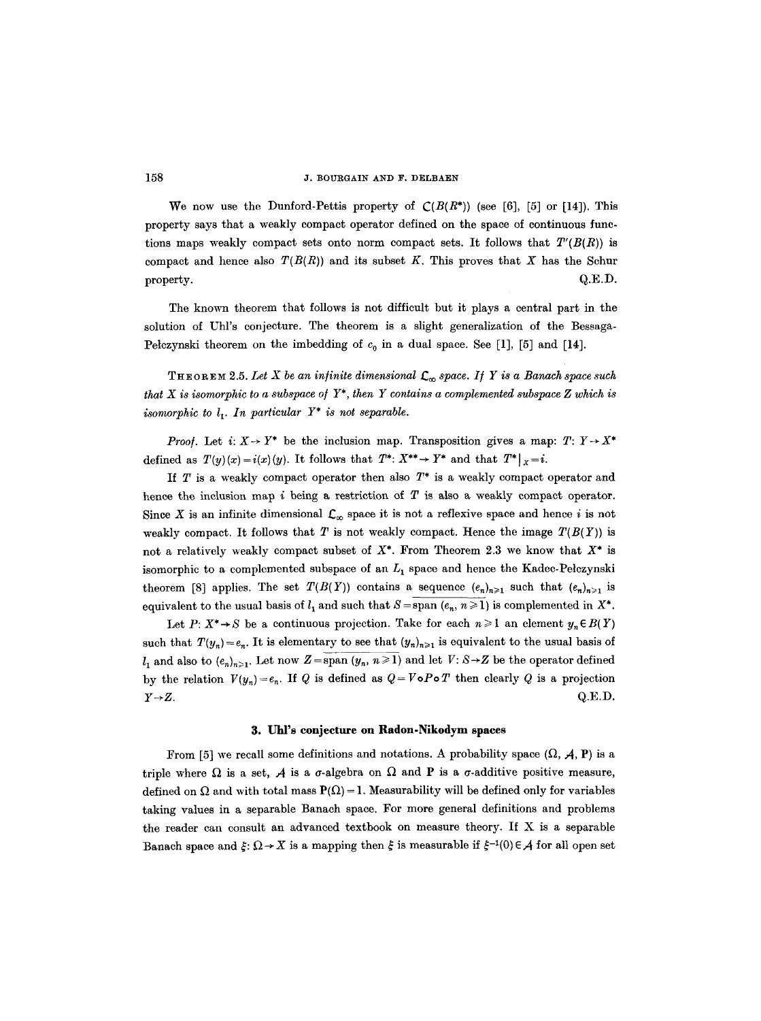We now use the Dunford-Pettis property of  $C(B(R^*))$  (see [6], [5] or [14]). This property says that a weakly compact operator defined on the space of continuous functions maps weakly compact sets onto norm compact sets. It follows that *T'(B(R))* is compact and hence also  $T(B(R))$  and its subset K. This proves that X has the Schur  $\mathbf{Q.E.D.}$ 

The known theorem that follows is not difficult but it plays a central part in the solution of Uhl's conjecture. The theorem is a slight generalization of the Bessaga-Pelczynski theorem on the imbedding of  $c_0$  in a dual space. See [1], [5] and [14].

THEOREM 2.5. Let X be an infinite dimensional  $\mathcal{L}_{\infty}$  space. If Y is a Banach space such *that X is isomorphic to a subspace o/* Y\*, *then Y contains a complemented subspace Z which is isomorphic to*  $l_1$ *. In particular Y\* is not separable.* 

*Proof.* Let  $i: X \rightarrow Y^*$  be the inclusion map. Transposition gives a map:  $T: Y \rightarrow X^*$ defined as  $T(y)(x) = i(x)(y)$ . It follows that  $T^*: X^{**} \to Y^*$  and that  $T^*|_{X} = i$ .

If  $T$  is a weakly compact operator then also  $T^*$  is a weakly compact operator and hence the inclusion map i being a restriction of  $T$  is also a weakly compact operator. Since X is an infinite dimensional  $\mathcal{L}_{\infty}$  space it is not a reflexive space and hence i is not weakly compact. It follows that T is not weakly compact. Hence the image  $T(B(Y))$  is not a relatively weakly compact subset of  $X^*$ . From Theorem 2.3 we know that  $X^*$  is isomorphic to a complemented subspace of an  $L_1$  space and hence the Kadec-Pełczynski theorem [8] applies. The set  $T(B(Y))$  contains a sequence  $(e_n)_{n\geq 1}$  such that  $(e_n)_{n\geq 1}$  is equivalent to the usual basis of  $l_1$  and such that  $S = span (e_n, n \geq 1)$  is complemented in  $X^*$ .

Let  $P: X^* \to S$  be a continuous projection. Take for each  $n \geq 1$  an element  $y_n \in B(Y)$ such that  $T(y_n) = e_n$ . It is elementary to see that  $(y_n)_{n\geq 1}$  is equivalent to the usual basis of  $l_1$  and also to  $(e_n)_{n\geq 1}$ . Let now  $Z = \text{span}(y_n, n \geq 1)$  and let  $V: S \rightarrow Z$  be the operator defined by the relation  $V(y_n) = e_n$ . If Q is defined as  $Q = V \circ P \circ T$  then clearly Q is a projection  $Y \rightarrow Z$ .  $Q.E.D.$ 

#### **3. Uhl's conjecture on Radon-Nikodym spaces**

From [5] we recall some definitions and notations. A probability space  $(\Omega, \mathcal{A}, P)$  is a triple where  $\Omega$  is a set,  $A$  is a  $\sigma$ -algebra on  $\Omega$  and P is a  $\sigma$ -additive positive measure, defined on  $\Omega$  and with total mass  $P(\Omega) = 1$ . Measurability will be defined only for variables taking values in a separable Banach space. For more general definitions and problems the reader can consult an advanced textbook on measure theory. If X is a separable Banach space and  $\xi: \Omega \to X$  is a mapping then  $\xi$  is measurable if  $\xi^{-1}(0) \in A$  for all open set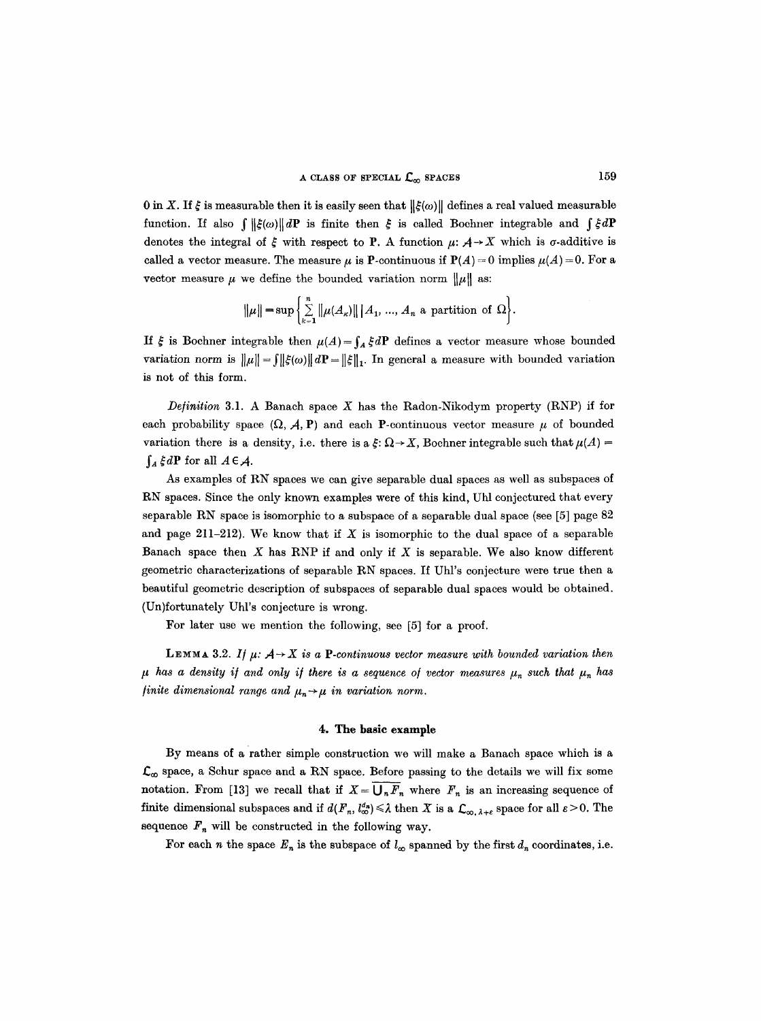0 in X. If  $\xi$  is measurable then it is easily seen that  $\|\xi(\omega)\|$  defines a real valued measurable function. If also  $\int ||\xi(\omega)||dP$  is finite then  $\xi$  is called Boehner integrable and  $\int \xi dP$ denotes the integral of  $\xi$  with respect to P. A function  $\mu: \mathcal{A} \to X$  which is  $\sigma$ -additive is called a vector measure. The measure  $\mu$  is P-continuous if  $P(A) = 0$  implies  $\mu(A) = 0$ . For a vector measure  $\mu$  we define the bounded variation norm  $\|\mu\|$  as:

$$
\|\mu\| = \sup \left\{ \sum_{k=1}^n \|\mu(A_k)\| \, |A_1, ..., A_n \text{ a partition of } \Omega \right\}.
$$

If  $\xi$  is Boehner integrable then  $\mu(A) = \int_A \xi dP$  defines a vector measure whose bounded variation norm is  $\|\mu\| = \int \|\xi(\omega)\| dP = \|\xi\|_1$ . In general a measure with bounded variation is not of this form.

*Definition* 3.1. A Banach space  $X$  has the Radon-Nikodym property (RNP) if for each probability space  $(\Omega, \mathcal{A}, P)$  and each P-continuous vector measure  $\mu$  of bounded variation there is a density, i.e. there is a  $\xi: \Omega \to X$ , Bochner integrable such that  $\mu(A)$  =  $\int_A \xi dP$  for all  $A \in \mathcal{A}$ .

As examples of RN spaces we can give separable dual spaces as well as subspaces of RN spaces. Since the only known examples were of this kind, Uhl conjectured that every separable RN space is isomorphic to a subspace of a separable dual space (see [5] page 82 and page 211-212). We know that if X is isomorphic to the dual space of a separable Banach space then  $X$  has RNP if and only if  $X$  is separable. We also know different geometric characterizations of separable RN spaces. If Uhl's conjecture were true then a beautiful geometric description of subspaces of separable dual spaces would be obtained. (Un)fortunately Uhl's conjecture is wrong.

For later use we mention the following, see [5] for a proof.

LEMMA 3.2. If  $\mu$ :  $A \rightarrow X$  is a P-continuous vector measure with bounded variation then  $\mu$  has a density if and only if there is a sequence of vector measures  $\mu_n$  such that  $\mu_n$  has *finite dimensional range and*  $\mu_n \rightarrow \mu$  *in variation norm.* 

## **4. The basic example**

By means of a rather simple construction we will make a Banach space which is a  $\mathcal{L}_{\infty}$  space, a Schur space and a RN space. Before passing to the details we will fix some notation. From [13] we recall that if  $X = \overline{U_n F_n}$  where  $F_n$  is an increasing sequence of finite dimensional subspaces and if  $d(F_n, l^{d_n}_{\infty}) \leq \lambda$  then X is a  $\mathcal{L}_{\infty, \lambda+\varepsilon}$  space for all  $\varepsilon > 0$ . The sequence  $F_n$  will be constructed in the following way.

For each *n* the space  $E_n$  is the subspace of  $l_\infty$  spanned by the first  $d_n$  coordinates, i.e.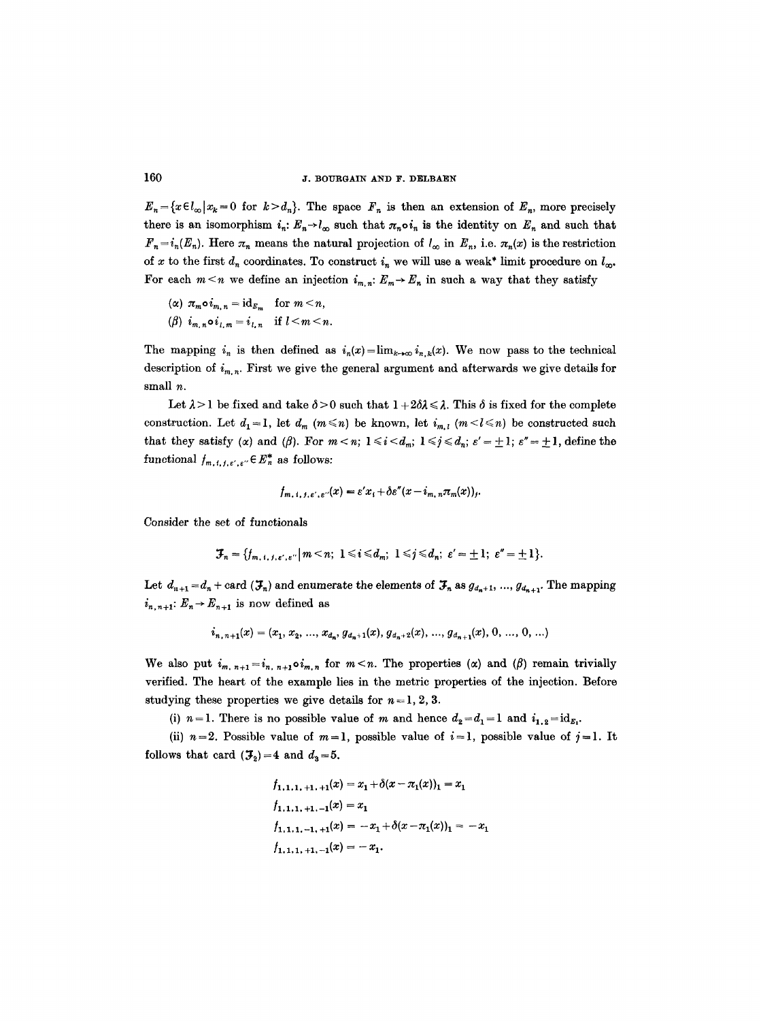$E_n = \{x \in l_\infty | x_k = 0 \text{ for } k > d_n\}.$  The space  $F_n$  is then an extension of  $E_n$ , more precisely there is an isomorphism  $i_n: E_n \to l_\infty$  such that  $\pi_n \circ i_n$  is the identity on  $E_n$  and such that  $F_n = i_n(E_n)$ . Here  $\pi_n$  means the natural projection of  $l_{\infty}$  in  $E_n$ , i.e.  $\pi_n(x)$  is the restriction of x to the first  $d_n$  coordinates. To construct  $i_n$  we will use a weak\* limit procedure on  $l_n$ . For each  $m < n$  we define an injection  $i_{m,n}: E_m \to E_n$  in such a way that they satisfy

$$
(\alpha) \pi_m \circ i_{m,n} = id_{E_m} \quad \text{for } m \leq n,
$$

$$
(\beta) i_{m,n} \circ i_{l,m} = i_{l,n} \quad \text{if } l < m < n.
$$

The mapping  $i_n$  is then defined as  $i_n(x) = \lim_{k \to \infty} i_{n,k}(x)$ . We now pass to the technical description of  $i_{m,n}$ . First we give the general argument and afterwards we give details for small  $n$ .

Let  $\lambda > 1$  be fixed and take  $\delta > 0$  such that  $1 + 2\delta\lambda \leq \lambda$ . This  $\delta$  is fixed for the complete construction. Let  $d_1 = 1$ , let  $d_m$  ( $m \le n$ ) be known, let  $i_{m,l}$  ( $m < l \le n$ ) be constructed such that they satisfy ( $\alpha$ ) and ( $\beta$ ). For  $m < n$ ;  $1 \le i < d_m$ ;  $1 \le j \le d_n$ ;  $\varepsilon' = \pm 1$ ;  $\varepsilon'' = \pm 1$ , define the functional  $f_{m, t, f, \varepsilon', \varepsilon''} \in E_n^*$  as follows:

$$
f_{m, i, j, \varepsilon', \varepsilon''}(x) = \varepsilon' x_i + \delta \varepsilon''(x - i_{m, n} \pi_m(x))_j.
$$

Consider the set of functionals

$$
\mathcal{F}_n = \{f_{m, t, j, \varepsilon', \varepsilon''} \mid m < n; 1 \leq i \leq d_m; 1 \leq j \leq d_n; \varepsilon' = \pm 1; \varepsilon'' = \pm 1\}.
$$

Let  $d_{n+1} = d_n + \text{card}(\mathcal{F}_n)$  and enumerate the elements of  $\mathcal{F}_n$  as  $g_{d_n+1}, ..., g_{d_{n+1}}$ . The mapping  $i_{n,n+1}: E_n \to E_{n+1}$  is now defined as

$$
i_{n, n+1}(x) = (x_1, x_2, ..., x_{d_n}, g_{d_n+1}(x), g_{d_n+2}(x), ..., g_{d_{n+1}}(x), 0, ..., 0, ...)
$$

We also put  $i_{m, n+1} = i_{n, n+1} \circ i_{m, n}$  for  $m < n$ . The properties ( $\alpha$ ) and ( $\beta$ ) remain trivially verified. The heart of the example lies in the metric properties of the injection. Before studying these properties we give details for  $n = 1, 2, 3$ .

(i)  $n=1$ . There is no possible value of m and hence  $d_2=d_1=1$  and  $i_{1,2}=\mathrm{id}_{E_1}$ .

(ii)  $n=2$ . Possible value of  $m=1$ , possible value of  $i=1$ , possible value of  $j=1$ . It follows that card  $({\mathcal{F}_2})=4$  and  $d_3=5$ .

$$
f_{1,1,1,+1,+1}(x) = x_1 + \delta(x - \pi_1(x))_1 = x_1
$$
  
\n
$$
f_{1,1,1,+1,-1}(x) = x_1
$$
  
\n
$$
f_{1,1,1,-1,+1}(x) = -x_1 + \delta(x - \pi_1(x))_1 = -x_1
$$
  
\n
$$
f_{1,1,1,+1,-1}(x) = -x_1.
$$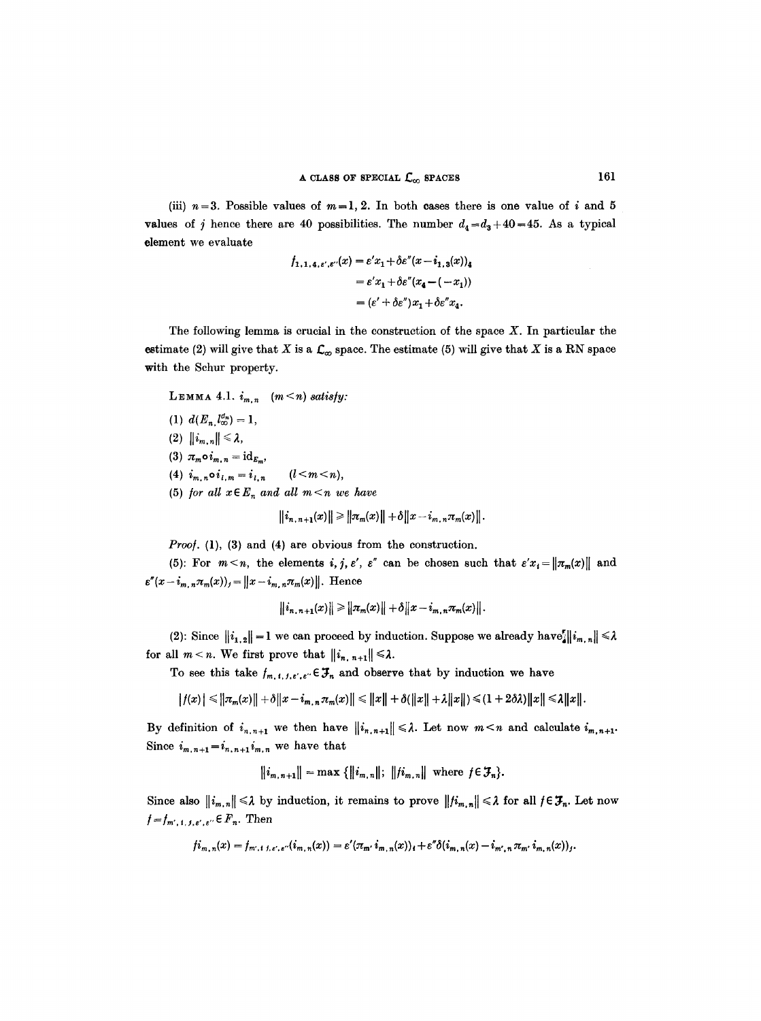(iii)  $n=3$ . Possible values of  $m=1, 2$ . In both cases there is one value of i and 5 values of j hence there are 40 possibilities. The number  $d_4=d_3+40=45$ . As a typical element we evaluate

$$
f_{1,1,4,\varepsilon',\varepsilon''}(x) = \varepsilon' x_1 + \delta \varepsilon''(x - i_{1,3}(x))_4
$$
  
=  $\varepsilon' x_1 + \delta \varepsilon''(x_4 - (-x_1))$   
=  $(\varepsilon' + \delta \varepsilon'') x_1 + \delta \varepsilon'' x_4.$ 

The following lemma is crucial in the construction of the space  $X$ . In particular the estimate (2) will give that X is a  $\mathcal{L}_{\infty}$  space. The estimate (5) will give that X is a RN space with the Schur property.

LEMMA 4.1.  $i_{m,n}$   $(m < n)$  *satisfy:* (1)  $d(E_n, l_{\infty}^{d_n}) = 1$ , (2)  $\|i_{m,n}\|\leq \lambda$ , (3)  $\pi_m \circ i_{m,n} = \mathrm{id}_{E_m}$ , (4)  $i_{m,n} \circ i_{l,m} = i_{l,n}$   $(l < m < n),$ (5) *for all*  $x \in E_n$  *and all*  $m < n$  *we have* 

$$
\|i_{n, n+1}(x)\| \geq \|\pi_m(x)\| + \delta \|x - i_{m, n}\pi_m(x)\|.
$$

*Proof.* (1), (3) and (4) are obvious from the construction.

(5): For  $m < n$ , the elements *i, j, e', e'* can be chosen such that  $\varepsilon' x_i = ||\pi_m(x)||$  and  $\epsilon''(x-i_{m,\,n}\pi_m(x))_j=\left \| x-i_{m,\,n}\pi_m(x) \right \|.$  Hence

$$
||i_{n, n+1}(x)|| \ge ||\pi_m(x)|| + \delta ||x - i_{m, n}\pi_m(x)||.
$$

(2): Since  $||i_{1,2}||=1$  we can proceed by induction. Suppose we already have  $||i_{m,n}|| \leq \lambda$ for all  $m < n$ . We first prove that  $||i_{n, n+1}|| \leq \lambda$ .

To see this take  $f_{m, t, j, \varepsilon', \varepsilon''} \in \mathcal{F}_n$  and observe that by induction we have

 $|f(x)| \leq ||\pi_m(x)|| + \delta ||x - i_{m,n}\pi_m(x)|| \leq ||x|| + \delta(||x|| + \lambda ||x||) \leq (1 + 2\delta\lambda) ||x|| \leq \lambda ||x||.$ 

By definition of  $i_{n,n+1}$  we then have  $||i_{n,n+1}|| \leq \lambda$ . Let now  $m \leq n$  and calculate  $i_{m,n+1}$ . Since  $i_{m,n+1}=i_{n,n+1}i_{m,n}$  we have that

 $||i_{m,n+1}|| = \max \{||i_{m,n}||; ||fi_{m,n}|| \text{ where } j \in \mathcal{F}_n\}.$ 

Since also  $\|i_{m,n}\| \leq \lambda$  by induction, it remains to prove  $\|j_{m,n}\| \leq \lambda$  for all  $f \in \mathcal{F}_n$ . Let now  $f=f_{m',t,j,s',s''} \in F_n$ . Then

$$
f_{m,n}(x) = f_{m',i,j,\varepsilon',\varepsilon'}(i_{m,n}(x)) = \varepsilon'(\pi_{m'} i_{m,n}(x))_i + \varepsilon'' \delta(i_{m,n}(x) - i_{m',n} \pi_{m'} i_{m,n}(x))_j.
$$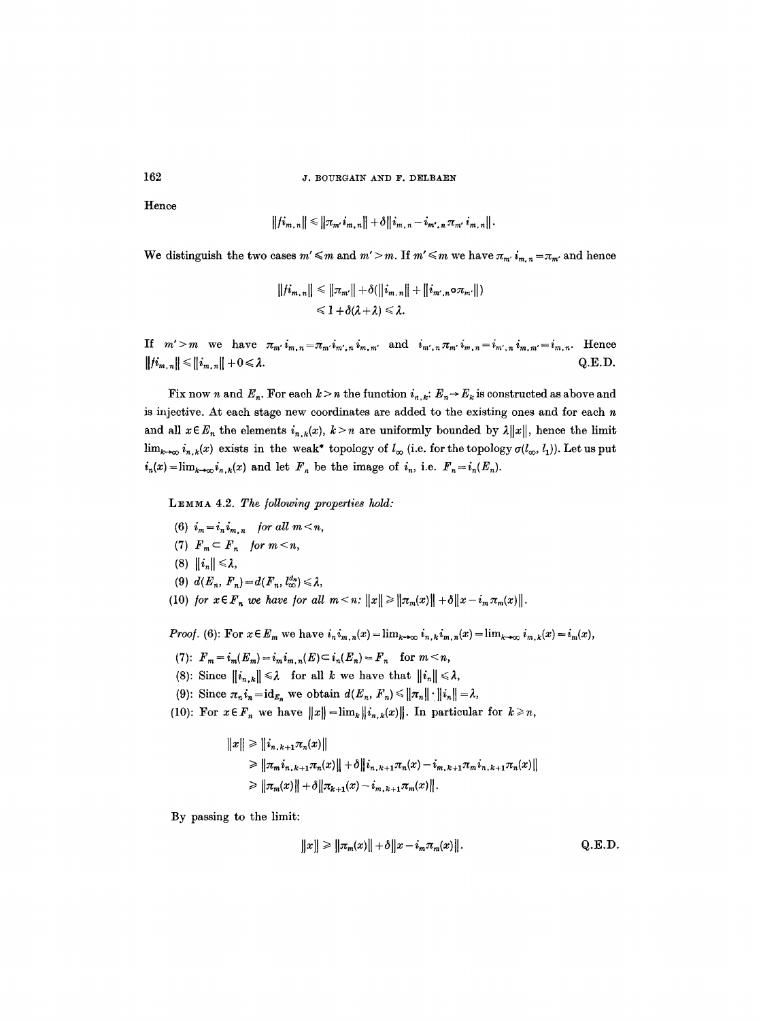Hence

$$
||\dot{h}_{m,n}|| \leq ||\pi_{m'}\dot{u}_{m,n}|| + \delta ||\dot{h}_{m,n} - \dot{h}_{m',n}\pi_{m'}\dot{u}_{m,n}||.
$$

We distinguish the two cases  $m' \leq m$  and  $m' > m$ . If  $m' \leq m$  we have  $\pi_{m'} i_{m,n} = \pi_{m'}$  and hence

$$
||\dot{n}_{m,n}|| \leq ||\pi_{m'}|| + \delta(||\dot{i}_{m,n}|| + ||\dot{i}_{m',n} \circ \pi_{m'}||)
$$
  

$$
\leq 1 + \delta(\lambda + \lambda) \leq \lambda.
$$

If  $m' > m$  we have  $\pi_{m'} i_{m,n} = \pi_{m'} i_{m',n} i_{m,m'}$  and  $i_{m',n} \pi_{m'} i_{m,n} = i_{m',n} i_{m,m'} = i_{m,n}$ . Hence  $||\{i_{m,n}\}| \le ||i_{m,n}|| + 0 \le \lambda.$  Q.E.D.

Fix now n and  $E_n$ . For each  $k > n$  the function  $i_{n,k}: E_n \to E_k$  is constructed as above and is injective. At each stage new coordinates are added to the existing ones and for each  $n$ and all  $x \in E_n$  the elements  $i_{n,k}(x)$ ,  $k > n$  are uniformly bounded by  $\lambda ||x||$ , hence the limit  $\lim_{k\to\infty} i_{n,k}(x)$  exists in the weak\* topology of  $l_{\infty}$  (i.e. for the topology  $\sigma(l_{\infty},l_1)$ ). Let us put  $i_n(x) = \lim_{k \to \infty} i_{n,k}(x)$  and let  $F_n$  be the image of  $i_n$ , i.e.  $F_n = i_n(E_n)$ .

LEMMA 4.2. The following properties hold:

- (6)  $i_m = i_n i_{m-n}$  for all  $m < n$ ,
- (7)  $F_m \subset F_n$  for  $m < n$ ,
- (8)  $\|\boldsymbol{i}_n\| \leq \lambda$ ,
- (9)  $d(E_n, F_n) = d(F_n, l_{\infty}^{d_n}) \leq \lambda$ ,
- (10) *for*  $x \in F_n$  *we have for all*  $m < n$ *:*  $||x|| \ge ||x_m(x)|| + \delta ||x i_m x_m(x)||$ .

*Proof.* (6): For  $x \in E_m$  we have  $i_n i_{m,n}(x) = \lim_{k \to \infty} i_{n,k} i_{m,n}(x) = \lim_{k \to \infty} i_{m,k}(x) = i_m(x)$ ,

- (7):  $F_m = i_m(E_m) = i_m i_{m,n}(E) \subset i_n(E_n) = F_n$  for  $m < n$ ,
- (8): Since  $||i_{n,k}|| \leq \lambda$  for all k we have that  $||i_n|| \leq \lambda$ ,
- (9): Since  $\pi_n i_n = id_{E_n}$  we obtain  $d(E_n, F_n) \le ||\pi_n|| \cdot ||i_n|| = \lambda$ ,
- (10): For  $x \in F_n$  we have  $||x|| = \lim_k ||i_{n,k}(x)||$ . In particular for  $k \ge n$ ,

$$
||x|| \ge ||i_{n,k+1}\pi_n(x)||
$$
  
\n
$$
\ge ||\pi_m i_{n,k+1}\pi_n(x)|| + \delta ||i_{n,k+1}\pi_n(x) - i_{m,k+1}\pi_m i_{n,k+1}\pi_n(x)||
$$
  
\n
$$
\ge ||\pi_m(x)|| + \delta ||\pi_{k+1}(x) - i_{m,k+1}\pi_m(x)||.
$$

By passing to the limit:

$$
||x|| \ge ||\pi_m(x)|| + \delta ||x - i_m \pi_m(x)||.
$$
 Q.E.D.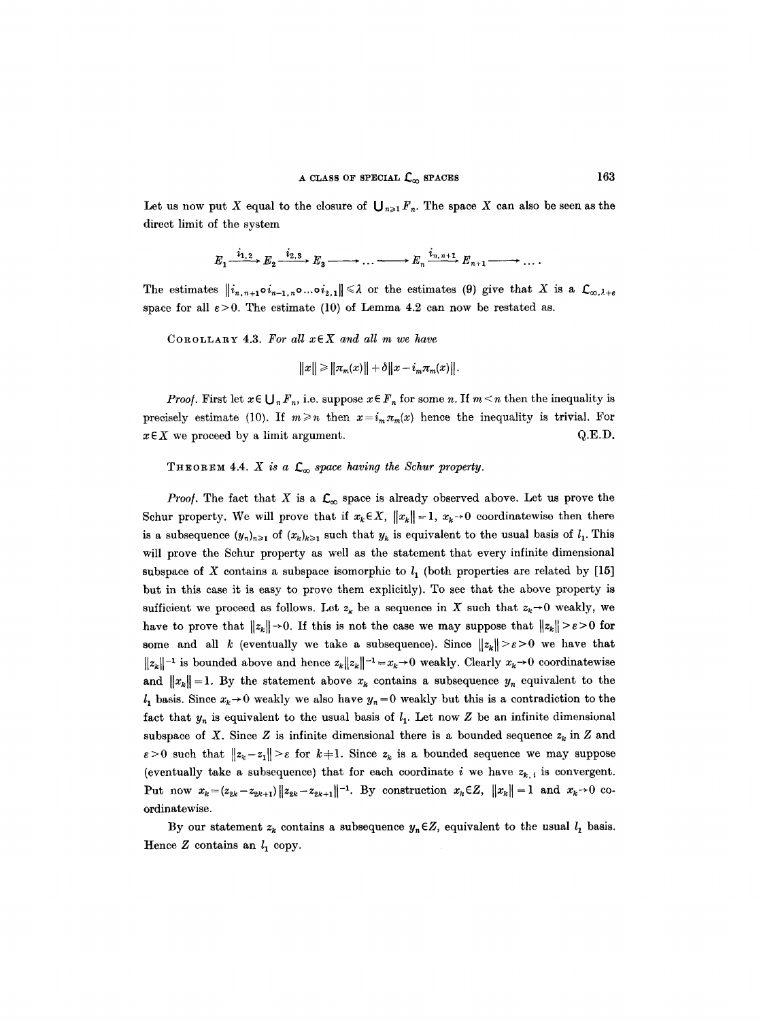Let us now put X equal to the closure of  $\bigcup_{n\geq 1}F_n$ . The space X can also be seen as the direct limit of the system

$$
E_1 \xrightarrow{i_{1,2}} E_2 \xrightarrow{i_{2,3}} E_3 \longrightarrow \dots \longrightarrow E_n \xrightarrow{i_{n,n+1}} E_{n+1} \longrightarrow \dots
$$

The estimates  $\|i_{n,n+1}\circ i_{n-1,n}\circ ...\circ i_{2,1}\| \leq \lambda$  or the estimates (9) give that X is a  $\mathcal{L}_{\infty,\lambda+\varepsilon}$ space for all  $\varepsilon > 0$ . The estimate (10) of Lemma 4.2 can now be restated as.

COROLLARY 4.3. *For all xEX and all m we have* 

$$
||x|| \ge ||\pi_m(x)|| + \delta ||x - i_m \pi_m(x)||
$$

*Proof.* First let  $x \in \bigcup_{n} F_n$ , i.e. suppose  $x \in F_n$  for some n. If  $m \leq n$  then the inequality is precisely estimate (10). If  $m \geq n$  then  $x=i_m\pi_m(x)$  hence the inequality is trivial. For  $x \in X$  we proceed by a limit argument.  $Q.E.D.$ 

## THEOREM 4.4.  $X$  is a  $\mathcal{L}_{\infty}$  space having the Schur property.

*Proof.* The fact that X is a  $\mathcal{L}_{\infty}$  space is already observed above. Let us prove the Schur property. We will prove that if  $x_k \in X$ ,  $||x_k|| = 1$ ,  $x_k \rightarrow 0$  coordinatewise then there is a subsequence  $(y_n)_{n\geq 1}$  of  $(x_k)_{k\geq 1}$  such that  $y_k$  is equivalent to the usual basis of  $l_1$ . This will prove the Schur property as well as the statement that every infinite dimensional subspace of X contains a subspace isomorphic to  $l_1$  (both properties are related by [15] but in this case it is easy to prove them explicitly). To see that the above property is sufficient we proceed as follows. Let  $z_k$  be a sequence in X such that  $z_k \rightarrow 0$  weakly, we have to prove that  $||z_k|| \rightarrow 0$ . If this is not the case we may suppose that  $||z_k|| \ge \varepsilon > 0$  for some and all k (eventually we take a subsequence). Since  $||z_k|| > \varepsilon > 0$  we have that  $||z_k||^{-1}$  is bounded above and hence  $z_k||z_k||^{-1} = x_k \to 0$  weakly. Clearly  $x_k \to 0$  coordinatewise and  $||x_k|| = 1$ . By the statement above  $x_k$  contains a subsequence  $y_n$  equivalent to the  $l_1$  basis. Since  $x_k \rightarrow 0$  weakly we also have  $y_n = 0$  weakly but this is a contradiction to the fact that  $y_n$  is equivalent to the usual basis of  $l_1$ . Let now Z be an infinite dimensional subspace of X. Since Z is infinite dimensional there is a bounded sequence  $z_k$  in Z and  $\varepsilon > 0$  such that  $||z_k - z_1|| > \varepsilon$  for  $k+1$ . Since  $z_k$  is a bounded sequence we may suppose (eventually take a subsequence) that for each coordinate i we have  $z_{k,i}$  is convergent. Put now  $x_k = (z_{2k}-z_{2k+1})||z_{2k}-z_{2k+1}||^{-1}$ . By construction  $x_k \in \mathbb{Z}$ ,  $||x_k|| = 1$  and  $x_k \to 0$  coordinatewise.

By our statement  $z_k$  contains a subsequence  $y_n \in Z$ , equivalent to the usual  $l_1$  basis. Hence  $Z$  contains an  $l_1$  copy.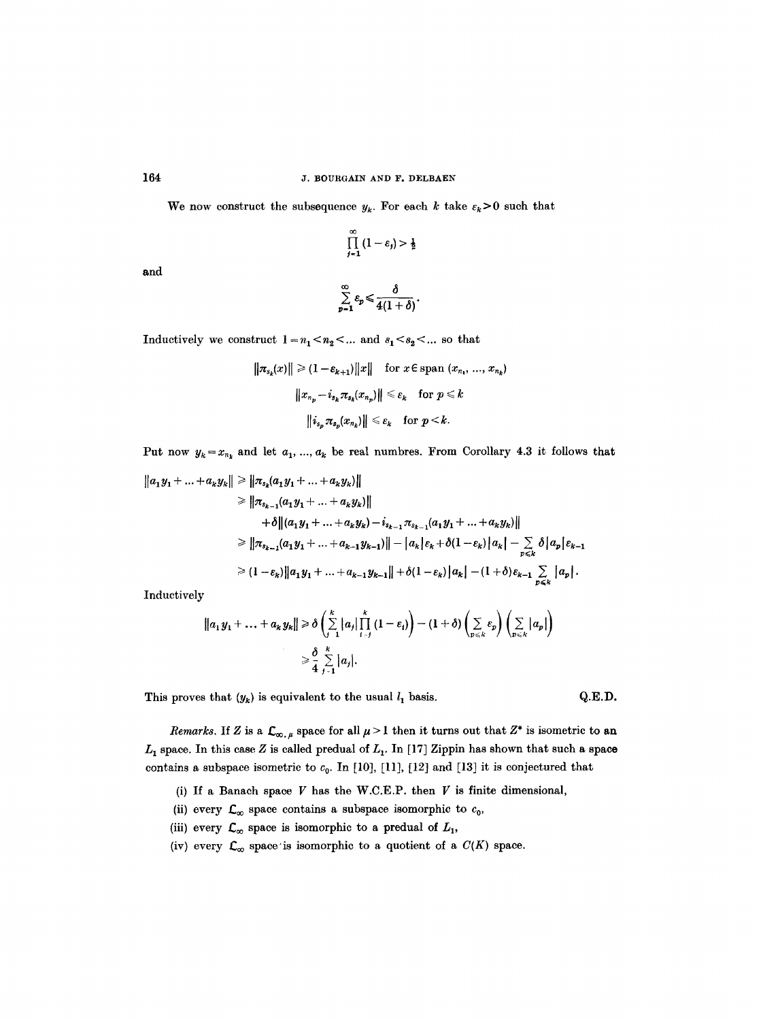We now construct the subsequence  $y_k$ . For each k take  $\varepsilon_k>0$  such that

$$
\prod_{j=1}^{\infty} (1-\varepsilon_j) > \frac{1}{2}
$$

and

$$
\sum_{p=1}^{\infty}\varepsilon_{p}\leqslant\frac{\delta}{4(1+\delta)}.
$$

Inductively we construct  $1 - n_1 < n_2 < ...$  and  $s_1 < s_2 < ...$  so that

$$
\|\pi_{s_k}(x)\| \geq (1-\varepsilon_{k+1})\|x\| \quad \text{for } x \in \text{span } (x_{n_1}, ..., x_{n_k})
$$

$$
\|x_{n_p} - i_{s_k}\pi_{s_k}(x_{n_p})\| \leq \varepsilon_k \quad \text{for } p \leq k
$$

$$
\|i_{s_p}\pi_{s_p}(x_{n_k})\| \leq \varepsilon_k \quad \text{for } p \leq k.
$$

Put now  $y_k = x_{n_k}$  and let  $a_1, ..., a_k$  be real numbres. From Corollary 4.3 it follows that

$$
||a_1y_1 + ... + a_ky_k|| \ge ||\pi_{s_k}(a_1y_1 + ... + a_ky_k)||
$$
  
\n
$$
\ge ||\pi_{s_{k-1}}(a_1y_1 + ... + a_ky_k)||
$$
  
\n
$$
+ \delta ||(a_1y_1 + ... + a_ky_k) - i_{s_{k-1}}\pi_{s_{k-1}}(a_1y_1 + ... + a_ky_k)||
$$
  
\n
$$
\ge ||\pi_{s_{k-1}}(a_1y_1 + ... + a_{k-1}y_{k-1})|| - |a_k|\varepsilon_k + \delta(1-\varepsilon_k)|a_k| - \sum_{p\le k} \delta |a_p|\varepsilon_{k-1}
$$
  
\n
$$
\ge (1-\varepsilon_k) ||a_1y_1 + ... + a_{k-1}y_{k-1}|| + \delta(1-\varepsilon_k)|a_k| - (1+\delta)\varepsilon_{k-1} \sum_{p\le k} |a_p|.
$$

Inductively

$$
||a_1y_1 + \ldots + a_ky_k|| \geq \delta \left( \sum_{j=1}^k |a_j| \prod_{i=j}^k (1 - \varepsilon_i) \right) - (1 + \delta) \left( \sum_{p \leq k} \varepsilon_p \right) \left( \sum_{p \leq k} |a_p| \right)
$$
  

$$
\geq \frac{\delta}{4} \sum_{j=1}^k |a_j|.
$$

This proves that  $(y_k)$  is equivalent to the usual  $l_1$  basis.  $Q.E.D.$ 

*Remarks.* If Z is a  $\mathcal{L}_{\infty,\mu}$  space for all  $\mu > 1$  then it turns out that  $Z^*$  is isometric to an  $L_1$  space. In this case Z is called predual of  $L_1$ . In [17] Zippin has shown that such a space contains a subspace isometric to  $c_0$ . In [10], [11], [12] and [13] it is conjectured that

- (i) If a Banach space V has the W.C.E.P. then V is finite dimensional,
- (ii) every  $\mathcal{L}_{\infty}$  space contains a subspace isomorphic to  $c_0$ ,
- (iii) every  $\mathcal{L}_{\infty}$  space is isomorphic to a predual of  $L_1$ ,
- (iv) every  $\mathcal{L}_{\infty}$  space is isomorphic to a quotient of a  $C(K)$  space.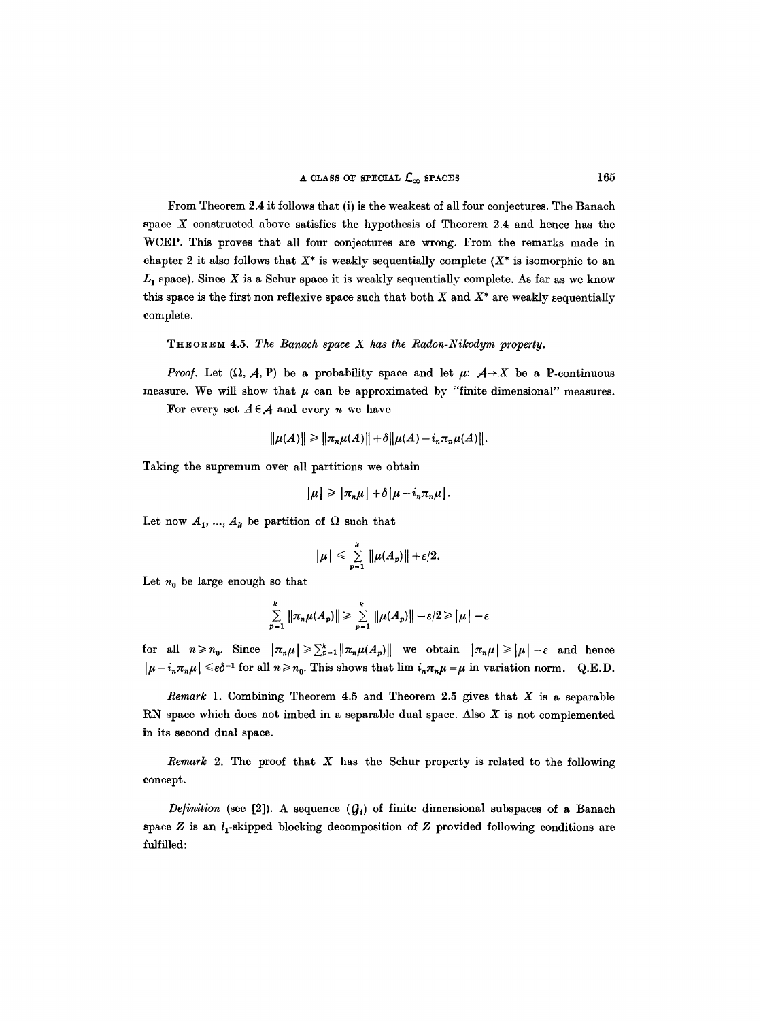From Theorem 2.4 it follows that (i) is the weakest of all four conjectures. The Banaeh space  $X$  constructed above satisfies the hypothesis of Theorem 2.4 and hence has the WCEP. This proves that all four conjectures are wrong. From the remarks made in chapter 2 it also follows that  $X^*$  is weakly sequentially complete  $(X^*$  is isomorphic to an  $L_1$  space). Since X is a Schur space it is weakly sequentially complete. As far as we know this space is the first non reflexive space such that both  $X$  and  $X^*$  are weakly sequentially complete.

**THEOREM 4.5. The Banach space X has the Radon-Nikodym property.** 

*Proof.* Let  $(\Omega, \mathcal{A}, P)$  be a probability space and let  $\mu$ :  $\mathcal{A} \rightarrow X$  be a P-continuous measure. We will show that  $\mu$  can be approximated by "finite dimensional" measures.

For every set  $A \in \mathcal{A}$  and every *n* we have

$$
\|\mu(A)\| \ge \|\pi_n\mu(A)\| + \delta \|\mu(A) - i_n\pi_n\mu(A)\|.
$$

Taking the supremum over all partitions we obtain

$$
|\mu| \geq |\pi_n \mu| + \delta |\mu - i_n \pi_n \mu|.
$$

Let now  $A_1, ..., A_k$  be partition of  $\Omega$  such that

$$
|\mu| \leq \sum_{p=1}^k ||\mu(A_p)|| + \varepsilon/2.
$$

Let  $n_0$  be large enough so that

$$
\sum_{p=1}^k \|\pi_n \mu(A_p)\| \geqslant \sum_{p=1}^k \|\mu(A_p)\| - \varepsilon/2 \geqslant |\mu| - \varepsilon
$$

for all  $n \geq n_0$ . Since  $|\pi_n \mu| \geq \sum_{p=1}^k ||\pi_n \mu(A_p)||$  we obtain  $|\pi_n \mu| \geq |\mu| - \varepsilon$  and hence  $|\mu - i_n \pi_n \mu| \leq \varepsilon \delta^{-1}$  for all  $n \geq n_0$ . This shows that  $\lim i_n \pi_n \mu = \mu$  in variation norm. Q.E.D.

*Remark* 1. Combining Theorem 4.5 and Theorem 2.5 gives that X is a separable RN space which does not imbed in a separable dual space. Also  $X$  is not complemented in its second dual space.

*Remark* 2. The proof that X has the Schur property is related to the following concept.

*Definition* (see [2]). A sequence  $(G_i)$  of finite dimensional subspaces of a Banach space  $Z$  is an  $l_1$ -skipped blocking decomposition of  $Z$  provided following conditions are fulfilled: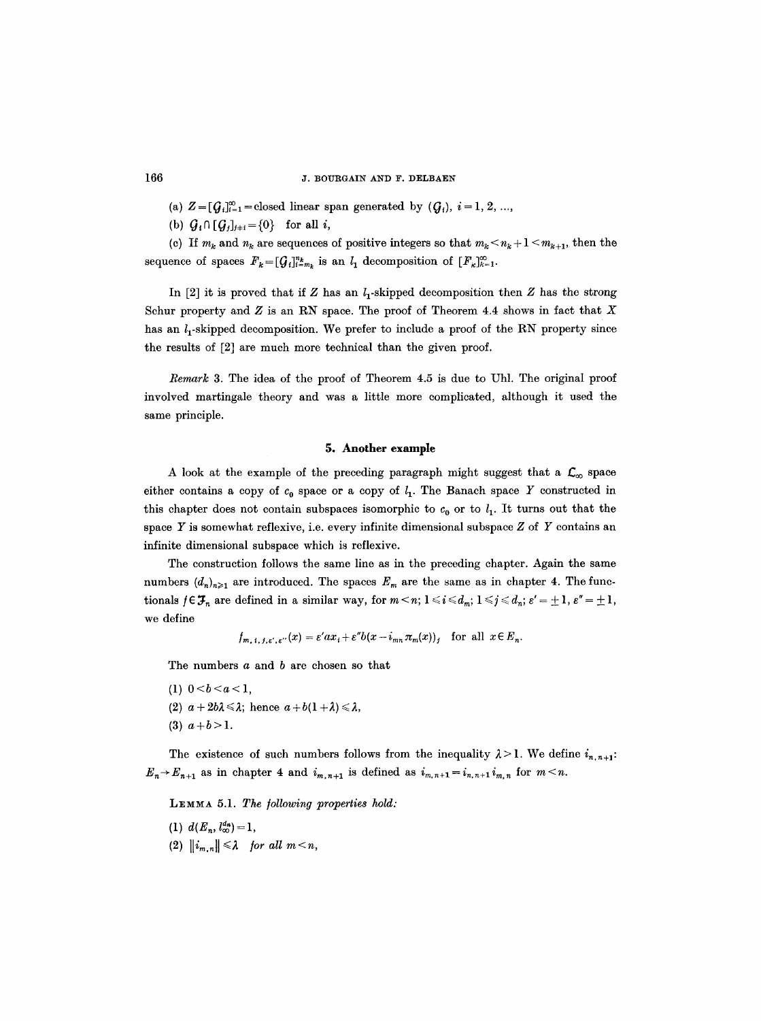(a)  $Z = [Q_i]_{i=1}^{\infty}$  = closed linear span generated by  $(Q_i), i=1, 2, ...$ 

(b)  $Q_i \cap [Q_j]_{j+i} = \{0\}$  for all i,

(c) If  $m_k$  and  $n_k$  are sequences of positive integers so that  $m_k < n_k + 1 < m_{k+1}$ , then the sequence of spaces  $F_k=[G_i]_{i=m_k}^{n_k}$  is an  $l_1$  decomposition of  $[F_k]_{k=1}^{\infty}$ .

In [2] it is proved that if Z has an  $l_1$ -skipped decomposition then Z has the strong Schur property and  $Z$  is an RN space. The proof of Theorem 4.4 shows in fact that  $X$ has an  $l_1$ -skipped decomposition. We prefer to include a proof of the RN property since the results of [2] are much more technical than the given proof.

*Remark* 3. The idea of the proof of Theorem 4.5 is due to Uhl. The original proof involved martingale theory and was a little more complicated, although it used the same principle.

## **5. Another example**

A look at the example of the preceding paragraph might suggest that a  $\mathcal{L}_{\infty}$  space either contains a copy of  $c_0$  space or a copy of  $l_1$ . The Banach space Y constructed in this chapter does not contain subspaces isomorphic to  $c_0$  or to  $l_1$ . It turns out that the space Y is somewhat reflexive, i.e. every infinite dimensional subspace  $Z$  of Y contains an infinite dimensional subspace which is reflexive.

The construction follows the same line as in the preceding chapter. Again the same numbers  $(d_n)_{n\geq 1}$  are introduced. The spaces  $E_m$  are the same as in chapter 4. The functionals  $f \in \mathcal{F}_n$  are defined in a similar way, for  $m \leq n$ ;  $1 \leq i \leq d_m$ ;  $1 \leq j \leq d_n$ ;  $\varepsilon' = \pm 1$ ,  $\varepsilon'' = \pm 1$ , we define

$$
f_{m, i, j, \varepsilon', \varepsilon''}(x) = \varepsilon' a x_i + \varepsilon'' b(x - i_{mn} \pi_m(x))_j
$$
 for all  $x \in E_n$ .

The numbers a and b are chosen so that

- (1)  $0 < b < a < 1$ ,
- (2)  $a+2b\lambda \leq \lambda$ ; hence  $a+b(1+\lambda) \leq \lambda$ ,
- (3)  $a+b>1$ .

The existence of such numbers follows from the inequality  $\lambda > 1$ . We define  $i_{n,n+1}$ :  $E_n \rightarrow E_{n+1}$  as in chapter 4 and  $i_{m,n+1}$  is defined as  $i_{m,n+1} = i_{n,n+1}i_{m,n}$  for  $m \le n$ .

LEMMA 5.1. *The /ollowing properties hold:* 

- (1)  $d(E_n, l_{\infty}^{d_n}) = 1$ ,
- (2)  $||i_{m,n}|| \leq \lambda$  for all  $m < n$ ,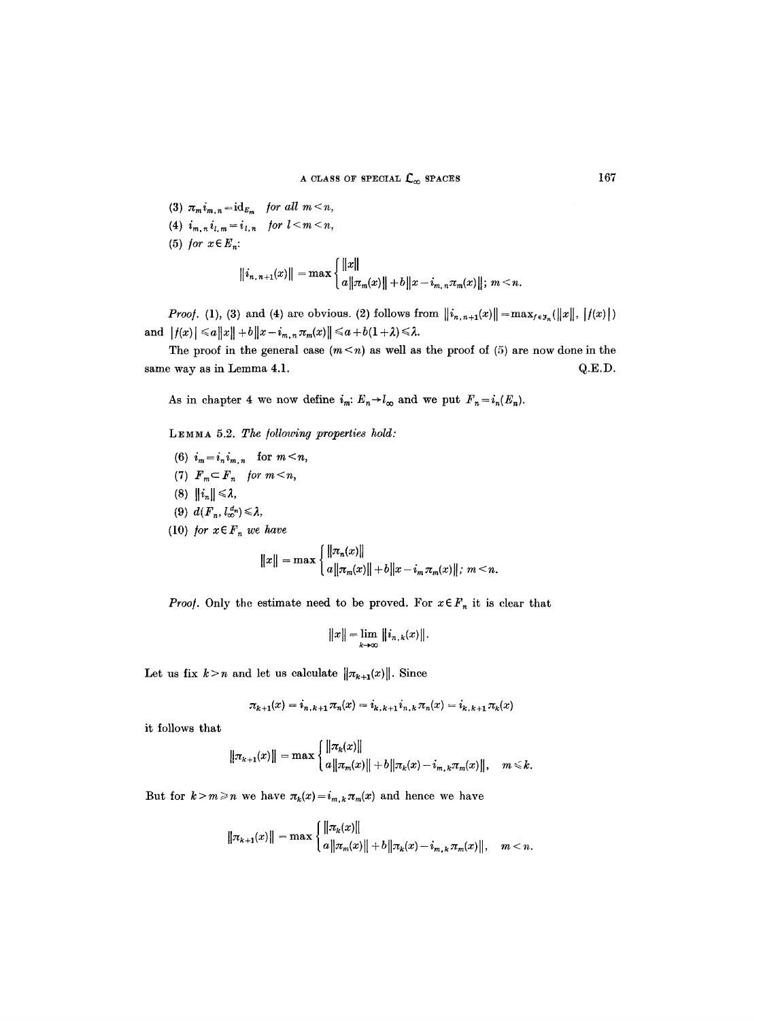- (3)  $\pi_m i_{m,n} = id_{E_m}$  *for all*  $m < n$ *,*
- (4)  $i_{m,n} i_{l,m} = i_{l,n}$  for  $l < m < n$ ,
- (5) *for*  $x \in E_n$ :

$$
\|i_{n,n+1}(x)\| = \max\left\{\frac{\|x\|}{a\|\pi_m(x)\|+b\|x-i_{m,n}\pi_m(x)\|; m\leq n}.\right.
$$

*Proof.* (1), (3) and (4) are obvious. (2) follows from  $\|i_{n,n+1}(x)\| = \max_{f \in \mathcal{J}_n} (\|x\|, \|f(x)\|)$ and  $|f(x)| \leq a||x|| + b||x - i_{m,n}\pi_m(x)|| \leq a + b(1+\lambda) \leq \lambda$ .

The proof in the general case  $(m \le n)$  as well as the proof of (5) are now done in the same way as in Lemma 4.1.  $Q.E.D.$ 

As in chapter 4 we now define  $i_m: E_n \to l_\infty$  and we put  $F_n=i_n(E_n)$ .

LEMMA 5.2. *The /ollowing properties hold:* 

(6)  $i_m = i_n i_{m,n}$  for  $m < n$ , (7)  $F_m \subset F_n$  for  $m < n$ , (8)  $||i_n|| \leq \lambda$ , (9)  $d(F_n, l_{\infty}^{d_n}) \leq \lambda$ , (10) *for*  $x \in F_n$  *we have*  $||x|| = \max \left\{ \frac{||\pi_n(x)||}{a||\pi_m(x)|| + b||x - i_m \pi_m(x)||, m \leq n. \right\}$ 

*Proof.* Only the estimate need to be proved. For  $x \in F_n$  it is clear that

$$
||x|| = \lim_{k \to \infty} ||i_{n,k}(x)||.
$$

Let us fix  $k>n$  and let us calculate  $\|\pi_{k+1}(x)\|$ . Since

$$
\pi_{k+1}(x) = i_{n,k+1}\pi_n(x) = i_{k,k+1}i_{n,k}\pi_n(x) = i_{k,k+1}\pi_k(x)
$$

it follows that

$$
\|\pi_{k+1}(x)\| = \max \begin{cases} \|\pi_k(x)\| \\ a\|\pi_m(x)\| + b\|\pi_k(x) - i_{m,k}\pi_m(x)\|, & m \leq k. \end{cases}
$$

But for  $k > m \ge n$  we have  $\pi_k(x) = i_{m,k} \pi_m(x)$  and hence we have

$$
\|\pi_{k+1}(x)\| = \max \begin{cases} \|\pi_k(x)\| \\ a\|\pi_m(x)\| + b\|\pi_k(x) - i_{m,k}\pi_m(x)\|, & m < n. \end{cases}
$$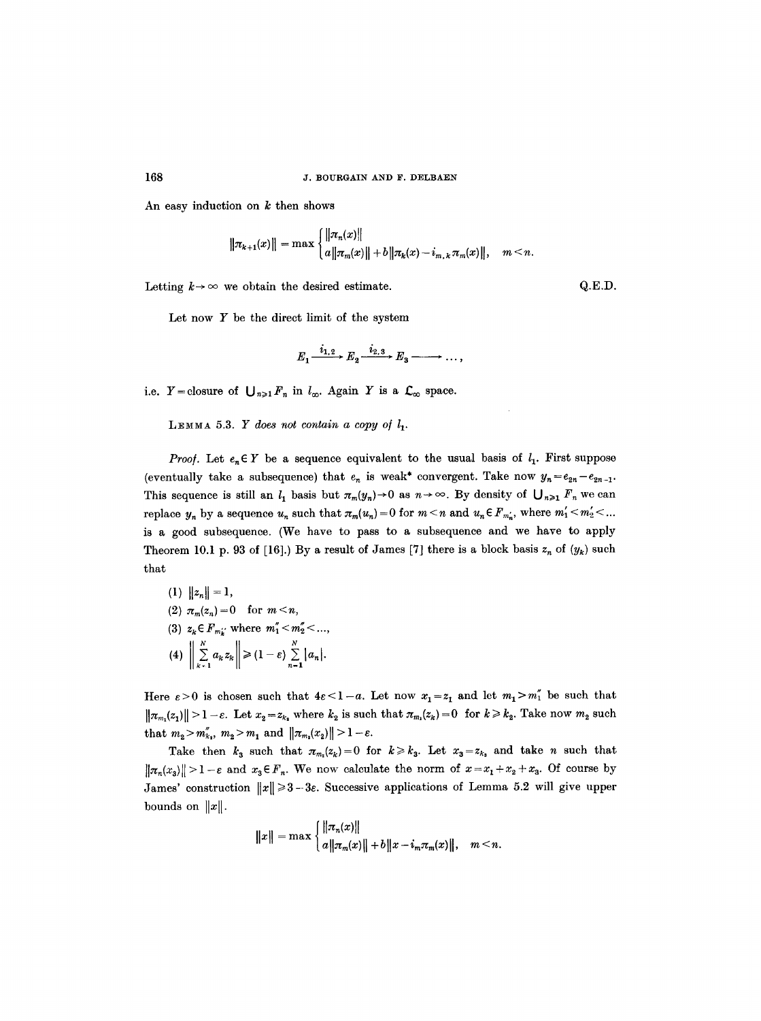An easy induction on  $k$  then shows

$$
\|\pi_{k+1}(x)\| = \max \begin{cases} \|\pi_n(x)\| \\ a\|\pi_m(x)\| + b\|\pi_k(x) - i_{m,k}\pi_m(x)\|, & m < n. \end{cases}
$$

Letting  $k \rightarrow \infty$  we obtain the desired estimate. Q.E.D.

Let now  $Y$  be the direct limit of the system

$$
E_1 \xrightarrow{i_{1,2}} E_2 \xrightarrow{i_{2,3}} E_3 \xrightarrow{\qquad} \ldots,
$$

i.e.  $Y =$ closure of  $\bigcup_{n \geq 1} F_n$  in  $l_\infty$ . Again Y is a  $\mathcal{L}_\infty$  space.

LEMMA 5.3.  $Y$  does not contain a copy of  $l_1$ .

*Proof.* Let  $e_n \in Y$  be a sequence equivalent to the usual basis of  $l_1$ . First suppose (eventually take a subsequence) that  $e_n$  is weak<sup>\*</sup> convergent. Take now  $y_n = e_{2n} - e_{2n-1}$ . This sequence is still an  $l_1$  basis but  $\pi_m(y_n) \to 0$  as  $n \to \infty$ . By density of  $\bigcup_{n \geq 1} F_n$  we can replace  $y_n$  by a sequence  $u_n$  such that  $\pi_m(u_n)=0$  for  $m < n$  and  $u_n \in F_{m'_n}$ , where  $m'_1 < m'_2 < ...$ is a good subsequence. (We have to pass to a subsequence and we have to apply Theorem 10.1 p. 93 of [16].) By a result of James [7] there is a block basis  $z_n$  of  $(y_k)$  such that

(1) 
$$
||z_n|| = 1
$$
,  
\n(2)  $\pi_m(z_n) = 0$  for  $m < n$ ,  
\n(3)  $z_k \in F_{m'_k}$  where  $m''_1 < m''_2 < ...$ ,  
\n(4)  $\left\| \sum_{k=1}^N a_k z_k \right\| \ge (1 - \varepsilon) \sum_{n=1}^N |a_n|$ .

Here  $\varepsilon > 0$  is chosen such that  $4\varepsilon < 1-a$ . Let now  $x_1 = z_1$  and let  $m_1 > m''_1$  be such that  $\|\pi_{m_1}(z_1)\| > 1 - \varepsilon$ . Let  $x_2 = z_{k_1}$  where  $k_2$  is such that  $\pi_{m_1}(z_k) = 0$  for  $k \geq k_2$ . Take now  $m_2$  such that  $m_2 > m_{\kappa_2}^{\prime\prime}$ ,  $m_2 > m_1$  and  $||\pi_{m_2}(x_2)|| > 1 - \varepsilon$ .

Take then  $k_3$  such that  $\pi_{m_i}(z_k)=0$  for  $k\geq k_3$ . Let  $x_3=z_{k_3}$  and take *n* such that  $\|\pi_n(x_3)\| > 1-\varepsilon$  and  $x_3 \in F_n$ . We now calculate the norm of  $x = x_1 + x_2 + x_3$ . Of course by James' construction  $||x|| \geq 3-3\varepsilon$ . Successive applications of Lemma 5.2 will give upper **bounds** on  $||x||$ .

$$
||x|| = \max \begin{cases} ||\pi_n(x)|| \\ a||\pi_m(x)|| + b||x - i_m\pi_m(x)||, & m < n. \end{cases}
$$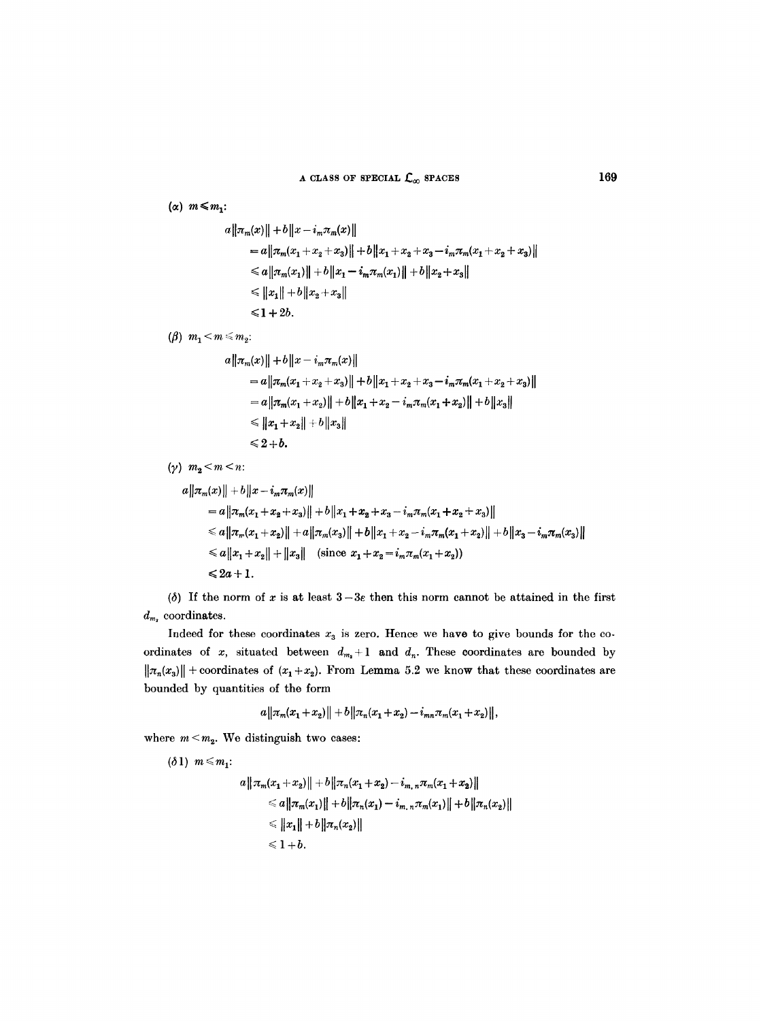( $\alpha$ )  $m \leq m_1$ :

$$
a||\pi_m(x)|| + b||x - i_m\pi_m(x)||
$$
  
\n
$$
= a||\pi_m(x_1 + x_2 + x_3)|| + b||x_1 + x_2 + x_3 - i_m\pi_m(x_1 + x_2 + x_3)||
$$
  
\n
$$
\le a||\pi_m(x_1)|| + b||x_1 - i_m\pi_m(x_1)|| + b||x_2 + x_3||
$$
  
\n
$$
\le ||x_1|| + b||x_2 + x_3||
$$
  
\n
$$
\le 1 + 2b.
$$

*(* $\beta$ *)*  $m_1 < m \leq m_2$ :

$$
a ||\pi_m(x)|| + b ||x - i_m \pi_m(x)||
$$
  
\n
$$
= a ||\pi_m(x_1 + x_2 + x_3)|| + b ||x_1 + x_2 + x_3 - i_m \pi_m(x_1 + x_2 + x_3)||
$$
  
\n
$$
= a ||\pi_m(x_1 + x_2)|| + b ||x_1 + x_2 - i_m \pi_m(x_1 + x_2)|| + b ||x_3||
$$
  
\n
$$
\le ||x_1 + x_2|| + b ||x_3||
$$
  
\n
$$
\le 2 + b.
$$

( $\gamma$ )  $m_2 < m < n$ :

$$
a||\pi_m(x)|| + b||x - i_m\pi_m(x)||
$$
  
\n
$$
= a||\pi_m(x_1 + x_2 + x_3)|| + b||x_1 + x_2 + x_3 - i_m\pi_m(x_1 + x_2 + x_3)||
$$
  
\n
$$
\le a||\pi_m(x_1 + x_2)|| + a||\pi_m(x_3)|| + b||x_1 + x_2 - i_m\pi_m(x_1 + x_2)|| + b||x_3 - i_m\pi_m(x_3)||
$$
  
\n
$$
\le a||x_1 + x_2|| + ||x_3|| \quad (\text{since } x_1 + x_2 = i_m\pi_m(x_1 + x_2))
$$
  
\n
$$
\le 2a + 1.
$$

( $\delta$ ) If the norm of x is at least  $3-3\varepsilon$  then this norm cannot be attained in the first  $d_{m_2}$  coordinates.

Indeed for these coordinates  $x_3$  is zero. Hence we have to give bounds for the coordinates of x, situated between  $d_{m_1}+1$  and  $d_n$ . These coordinates are bounded by  $\|\pi_n(x_3)\|$  + coordinates of  $(x_1+x_2)$ . From Lemma 5.2 we know that these coordinates are bounded by quantities of the form

$$
a||\pi_m(x_1+x_2)||+b||\pi_n(x_1+x_2)-i_{mn}\pi_m(x_1+x_2)||,
$$

where  $m < m<sub>2</sub>$ . We distinguish two cases:

 $(\delta 1)$   $m \leq m_1$ :

$$
a||\pi_m(x_1+x_2)||+b||\pi_n(x_1+x_2)-i_{m,n}\pi_m(x_1+x_2)||
$$
  
\n
$$
\leq a||\pi_m(x_1)||+b||\pi_n(x_1)-i_{m,n}\pi_m(x_1)||+b||\pi_n(x_2)||
$$
  
\n
$$
\leq ||x_1||+b||\pi_n(x_2)||
$$
  
\n
$$
\leq 1+b.
$$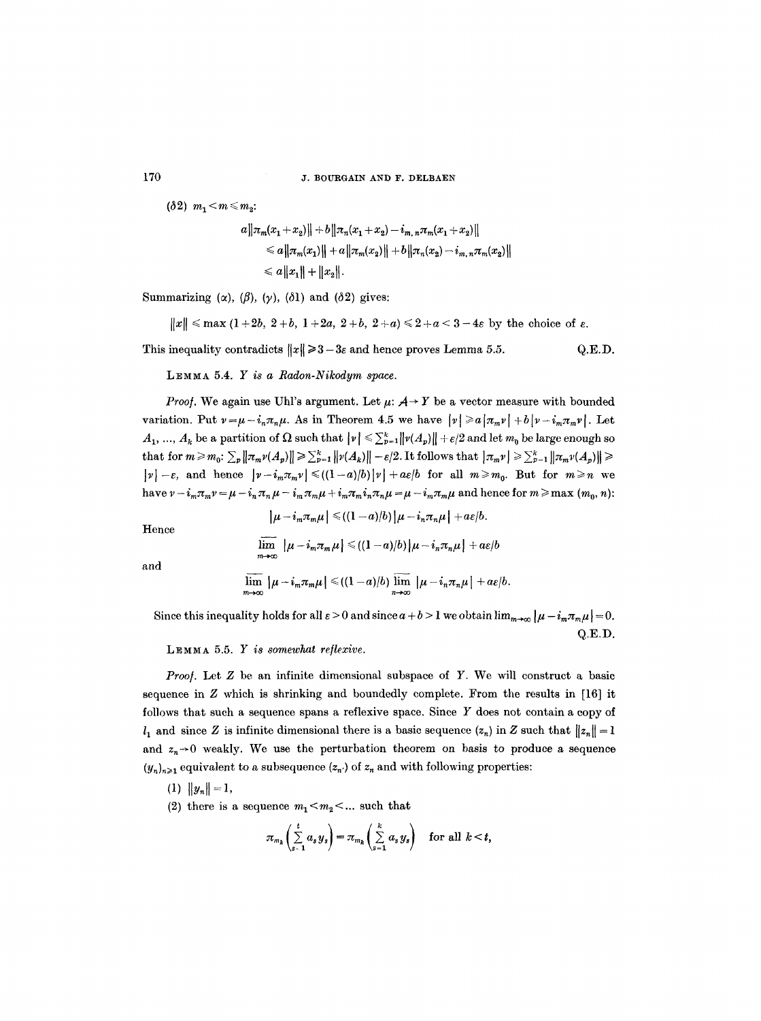( $\delta 2$ )  $m_1 < m \leq m_2$ :

$$
a \| \pi_m(x_1 + x_2) \| + b \| \pi_n(x_1 + x_2) - i_{m,n} \pi_m(x_1 + x_2) \|
$$
  
\n
$$
\leq a \| \pi_m(x_1) \| + a \| \pi_m(x_2) \| + b \| \pi_n(x_2) - i_{m,n} \pi_m(x_2) \|
$$
  
\n
$$
\leq a \| x_1 \| + \| x_2 \|.
$$

Summarizing ( $\alpha$ ), ( $\beta$ ), ( $\gamma$ ), ( $\delta$ 1) and ( $\delta$ 2) gives:

$$
||x|| \leq \max(1+2b, 2+b, 1+2a, 2+b, 2+a) \leq 2+a < 3-4\varepsilon
$$
 by the choice of  $\varepsilon$ .

This inequality contradicts  $||x|| \ge 3-3\varepsilon$  and hence proves Lemma 5.5. Q.E.D.

LEMMA 5.4. Y *is a Radon-Nikodym space.* 

*Proof.* We again use Uhl's argument. Let  $\mu$ :  $A \rightarrow Y$  be a vector measure with bounded variation. Put  $v=\mu-i_n\pi_n\mu$ . As in Theorem 4.5 we have  $|v|\geq a|\pi_mv| +b|v-i_m\pi_mv|$ . Let  $A_1, ..., A_k$  be a partition of  $\Omega$  such that  $|\nu| \leq \sum_{p=1}^k ||\nu(A_p)|| + \varepsilon/2$  and let  $m_0$  be large enough so that for  $m \geq m_0$ :  $\sum_p ||\pi_m v(A_p)|| \geq \sum_{p=1}^k ||v(A_k)|| - \varepsilon/2$ . It follows that  $|\pi_m v| \geq \sum_{p=1}^k ||\pi_m v(A_p)|| \geq$  $|v| - \varepsilon$ , and hence  $|v - i_m \pi_m v| \leq (1 - a)/b |v| + a\varepsilon/b$  for all  $m \geq m_0$ . But for  $m \geq n$  we have  $\nu - i_m \pi_m \nu = \mu - i_m \pi_n \mu - i_m \pi_m \mu + i_m \pi_m i_n \pi_n \mu = \mu - i_m \pi_m \mu$  and hence for  $m \ge \max(m_0, n)$ :

Hence

$$
\lim_{m\to\infty} |\mu - i_m \pi_m \mu| \leq ( (1-a)/b) |\mu - i_n \pi_n \mu| + a \varepsilon / b
$$

 $|\mu-i_m\pi_m\mu| \leq (1-a)/b |\mu-i_n\pi_n\mu| + a\varepsilon/b.$ 

and

$$
\overline{\lim}_{m\to\infty}|\mu-i_m\pi_m\mu| \leq ( (1-a)/b) \overline{\lim}_{n\to\infty}|\mu-i_n\pi_n\mu| + a\varepsilon/b.
$$

Since this inequality holds for all  $\varepsilon > 0$  and since  $a + b > 1$  we obtain  $\lim_{m\to\infty} |\mu - i_m \pi_m \mu| = 0$ . Q.E.D.

LEMMA 5.5. *Y is somewhat reflexive.* 

*Proof.* Let Z be an infinite dimensional subspace of Y. We will construct a basic sequence in Z which is shrinking and boundedly complete. From the results in [16] it follows that such a sequence spans a reflexive space. Since Y does not contain a copy of  $l_1$  and since Z is infinite dimensional there is a basic sequence  $(z_n)$  in Z such that  $||z_n|| = 1$ and  $z_n \rightarrow 0$  weakly. We use the perturbation theorem on basis to produce a sequence  $(y_n)_{n\geq 1}$  equivalent to a subsequence  $(z_n)$  of  $z_n$  and with following properties:

- $(1)$   $||y_n|| = 1$ ,
- (2) there is a sequence  $m_1 < m_2 < ...$  such that

$$
\pi_{m_k}\left(\sum_{s=1}^t a_s y_s\right) = \pi_{m_k}\left(\sum_{s=1}^k a_s y_s\right) \quad \text{for all } k < t,
$$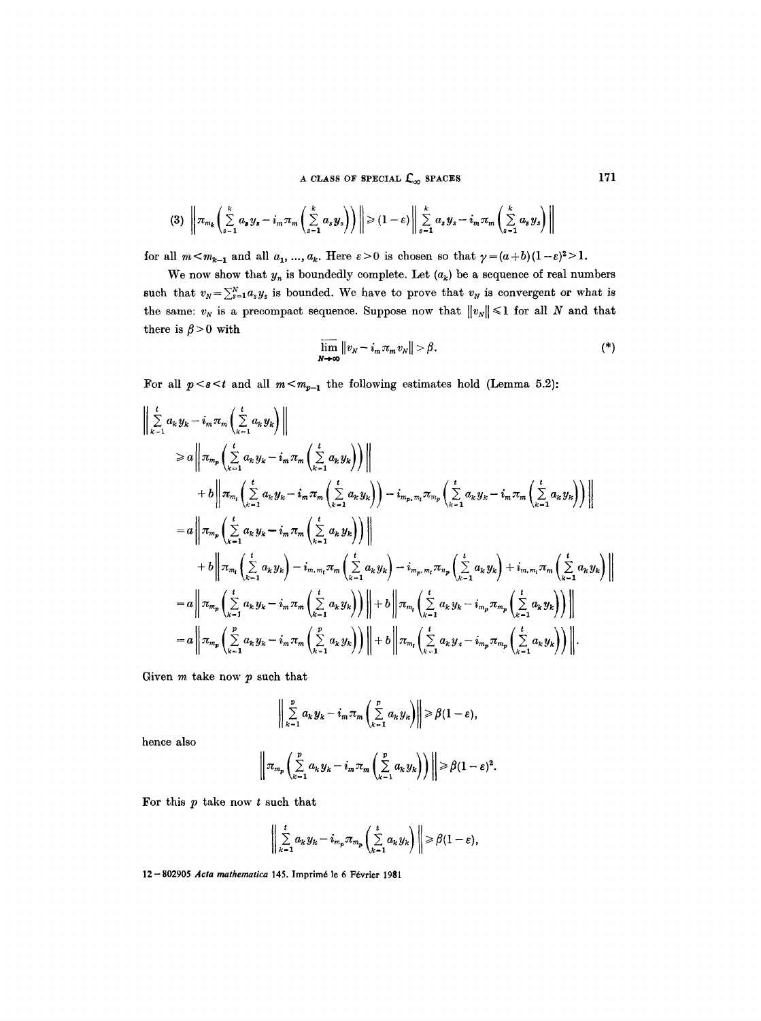A CLASS OF SPECIAL  $C_{\infty}$  spaces 171

$$
(3) \left\|\pi_{m_k}\left(\sum_{s=1}^k a_s y_s - i_m \pi_m\left(\sum_{s=1}^k a_s y_s\right)\right)\right\| \geq (1-\varepsilon) \left\|\sum_{s=1}^k a_s y_s - i_m \pi_m\left(\sum_{s=1}^k a_s y_s\right)\right\|
$$

for all  $m < m_{k-1}$  and all  $a_1, ..., a_k$ . Here  $\varepsilon > 0$  is chosen so that  $\gamma = (a+b)(1-\varepsilon)^2 > 1$ .

We now show that  $y_n$  is boundedly complete. Let  $(a_k)$  be a sequence of real numbers such that  $v_N = \sum_{s=1}^{N} a_s y_s$  is bounded. We have to prove that  $v_N$  is convergent or what is the same:  $v_N$  is a precompact sequence. Suppose now that  $||v_N|| \leq 1$  for all N and that there is  $\beta > 0$  with

$$
\overline{\lim}_{N\to\infty}||v_N-i_m\pi_m v_N||>\beta.
$$
 (\*)

For all  $p < s < t$  and all  $m < m_{p-1}$  the following estimates hold (Lemma 5.2):

$$
\begin{split}\n&\left|\sum_{k=1}^{t} a_{k} y_{k} - i_{m} \pi_{m} \left( \sum_{k=1}^{t} a_{k} y_{k} \right) \right\| \\
&\geq a \left\| \pi_{m_{p}} \left( \sum_{k=1}^{t} a_{k} y_{k} - i_{m} \pi_{m} \left( \sum_{k=1}^{t} a_{k} y_{k} \right) \right) \right\| \\
&+ b \left\| \pi_{m_{i}} \left( \sum_{k=1}^{t} a_{k} y_{k} - i_{m} \pi_{m} \left( \sum_{k=1}^{t} a_{k} y_{k} \right) \right) - i_{m_{p}, m_{i}} \pi_{m_{p}} \left( \sum_{k=1}^{t} a_{k} y_{k} - i_{m} \pi_{m} \left( \sum_{k=1}^{t} a_{k} y_{k} \right) \right) \right\| \\
&= a \left\| \pi_{m_{p}} \left( \sum_{k=1}^{t} a_{k} y_{k} - i_{m} \pi_{m} \left( \sum_{k=1}^{t} a_{k} y_{k} \right) \right) \right\| \\
&+ b \left\| \pi_{m_{i}} \left( \sum_{k=1}^{t} a_{k} y_{k} \right) - i_{m, m_{i}} \pi_{m} \left( \sum_{k=1}^{t} a_{k} y_{k} \right) - i_{m_{p}, m_{i}} \pi_{n_{p}} \left( \sum_{k=1}^{t} a_{k} y_{k} \right) + i_{m, m_{i}} \pi_{m} \left( \sum_{k=1}^{t} a_{k} y_{k} \right) \right\| \\
&= a \left\| \pi_{m_{p}} \left( \sum_{k=1}^{t} a_{k} y_{k} - i_{m} \pi_{m} \left( \sum_{k=1}^{t} a_{k} y_{k} \right) \right) \right\| + b \left\| \pi_{m_{i}} \left( \sum_{k=1}^{t} a_{k} y_{k} - i_{m_{p}} \pi_{m_{p}} \left( \sum_{k=1}^{t} a_{k} y_{k} \right) \right) \right\| \\
&= a \left\| \pi_{m_{p}} \left( \sum_{k=1}^{p} a_{k} y_{k} - i_{m} \pi_{m} \left( \sum_{k=1}^{p} a_{k} y_{k} \right
$$

Given  $m$  take now  $p$  such that

$$
\left\|\sum_{k=1}^p a_k y_k - i_m \pi_m\left(\sum_{k=1}^p a_k y_k\right)\right\| \geq \beta(1-\varepsilon),
$$

hence also

$$
\left\| \pi_{m_p}\left(\sum_{k=1}^p a_k y_k - i_m \pi_m\left(\sum_{k=1}^p a_k y_k\right)\right) \right\| \geq \beta(1-\varepsilon)^2.
$$

For this  $p$  take now  $t$  such that

$$
\left\| \sum_{k=1}^t a_k y_k - i_{m_p} \pi_{m_p} \left( \sum_{k=1}^t a_k y_k \right) \right\| \geq \beta(1-\varepsilon),
$$

12-802905 Acta mathematica 145. Imprimé le 6 Février 1981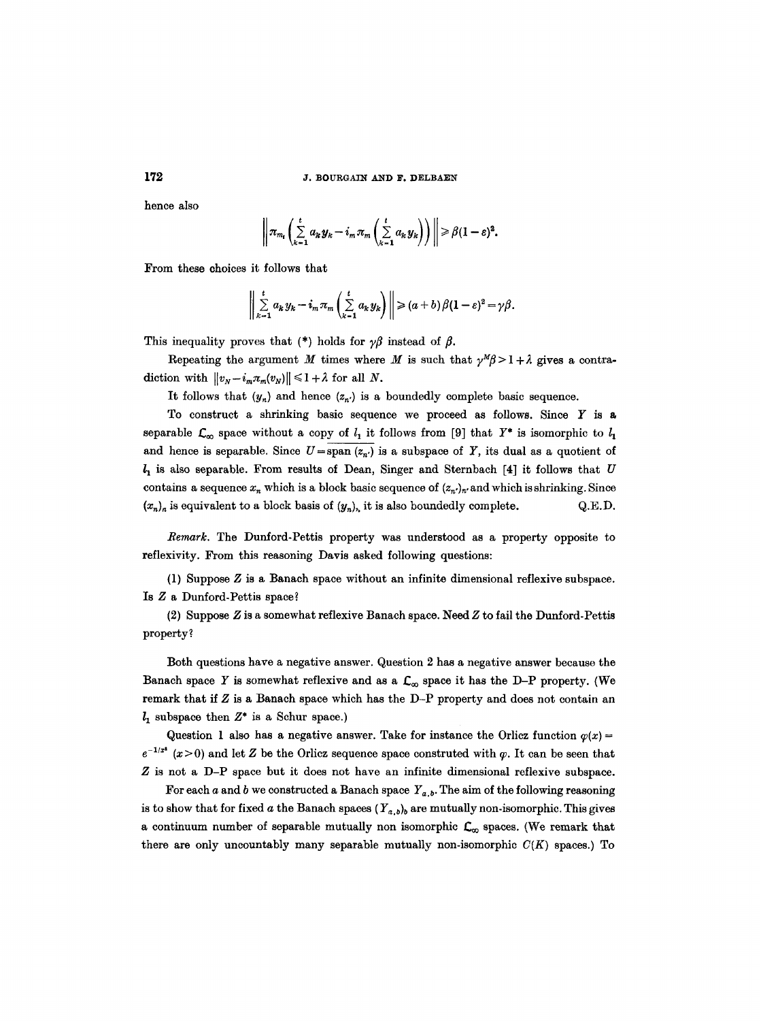hence also

$$
\left\|\pi_{m_t}\left(\sum_{k=1}^t a_k y_k - i_m \pi_m\left(\sum_{k=1}^t a_k y_k\right)\right)\right\| \geq \beta(1-\varepsilon)^2.
$$

From these choices it follows that

$$
\bigg\|\sum_{k=1}^t a_k y_k - i_m \pi_m\bigg(\sum_{k=1}^t a_k y_k\bigg)\bigg\| \geq (a+b)\beta(1-\varepsilon)^2 = \gamma\beta.
$$

This inequality proves that (\*) holds for  $\gamma\beta$  instead of  $\beta$ .

Repeating the argument M times where M is such that  $\gamma^M \beta > 1 + \lambda$  gives a contradiction with  $||v_N - i_m \pi_m(v_N)|| \leq 1 + \lambda$  for all N.

It follows that  $(y_n)$  and hence  $(z_n)$  is a boundedly complete basic sequence.

To construct a shrinking basic sequence we proceed as follows. Since  $Y$  is a separable  $\mathcal{L}_{\infty}$  space without a copy of  $l_1$  it follows from [9] that  $Y^*$  is isomorphic to  $l_1$ and hence is separable. Since  $U=\overline{\text{span}(z_{n})}$  is a subspace of Y, its dual as a quotient of  $l_1$  is also separable. From results of Dean, Singer and Sternbach [4] it follows that U contains a sequence  $x_n$  which is a block basic sequence of  $(x_n)_n$  and which is shrinking. Since  $(x_n)_n$  is equivalent to a block basis of  $(y_n)_n$ , it is also boundedly complete. Q.E.D.

*Remark.* The Dunford-Pettis property was understood as a property opposite to reflexivity. From this reasoning Davis asked following questions:

(1) Suppose Z is a Banach space without an infinite dimensional reflexive subspace. **Is Z a** Dunford-Pettis space?

(2) Suppose Z is a somewhat reflexive Banach space. Need Z to fail the Dunford-Pettis property?

Both questions have a negative answer. Question 2 has a negative answer because the Banach space Y is somewhat reflexive and as a  $\mathcal{L}_{\infty}$  space it has the D-P property. (We remark that if Z is a Banach space which has the D-P property and does not contain an  $l_1$  subspace then  $Z^*$  is a Schur space.)

Question 1 also has a negative answer. Take for instance the Orlicz function  $\varphi(x)$  =  $e^{-1/x^2}$  (x > 0) and let Z be the Orlicz sequence space construted with  $\varphi$ . It can be seen that Z is not a D-P space but it does not have an infinite dimensional reflexive subspace.

For each a and b we constructed a Banach space  $Y_{a,b}$ . The aim of the following reasoning is to show that for fixed a the Banach spaces  $(Y_{a,b})_b$  are mutually non-isomorphic. This gives a continuum number of separable mutually non isomorphic  $\mathcal{L}_{\infty}$  spaces. (We remark that there are only uncountably many separable mutually non-isomorphic  $C(K)$  spaces.) To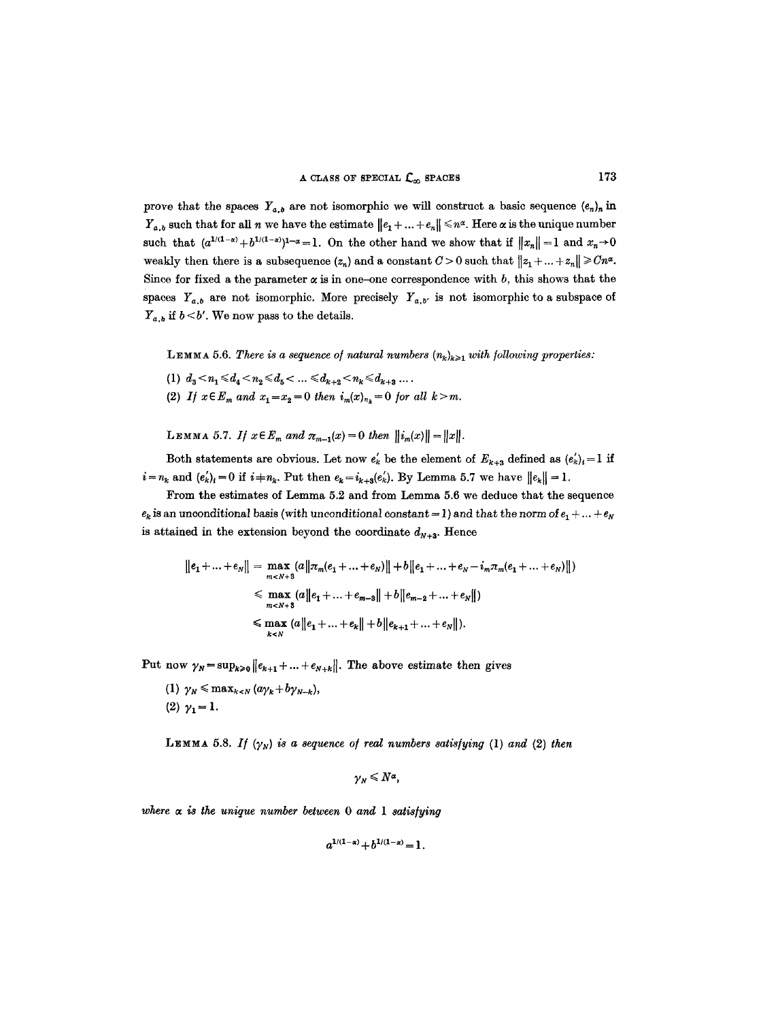prove that the spaces  $Y_{a,b}$  are not isomorphic we will construct a basic sequence  $(e_n)_n$  in  $Y_{a,b}$  such that for all n we have the estimate  $||e_1 + ... + e_n|| \leq n^{\alpha}$ . Here  $\alpha$  is the unique number such that  $(a^{1/(1-\alpha)}+b^{1/(1-\alpha)})^{1-\alpha}=1$ . On the other hand we show that if  $||x_n||=1$  and  $x_n\to 0$ weakly then there is a subsequence  $(z_n)$  and a constant  $C > 0$  such that  $||z_1 + ... + z_n|| \geq Cn^{\alpha}$ . Since for fixed a the parameter  $\alpha$  is in one-one correspondence with b, this shows that the spaces  $Y_{a,b}$  are not isomorphic. More precisely  $Y_{a,b'}$  is not isomorphic to a subspace of  $Y_{a,b}$  if  $b < b'$ . We now pass to the details.

LEMMA 5.6. *There is a sequence of natural numbers*  $(n_k)_{k\geq 1}$  with following properties:

- (1)  $d_3 < n_1 \leq d_4 < n_2 \leq d_5 < \ldots \leq d_{k+2} < n_k \leq d_{k+3} \ldots$ .
- (2) *If*  $x \in E_m$  *and*  $x_1 = x_2 = 0$  *then*  $i_m(x)_{n_k} = 0$  *for all k>m.*

**LEMMA** 5.7. If  $x \in E_m$  and  $\pi_{m-1}(x) = 0$  then  $||i_m(x)|| = ||x||$ .

Both statements are obvious. Let now  $e'_k$  be the element of  $E_{k+3}$  defined as  $(e'_k)_i = 1$  if  $i=n_k$  and  $(e'_k)_i=0$  if  $i+n_k$ . Put then  $e_k=i_{k+3}(e'_k)$ . By Lemma 5.7 we have  $||e_k||=1$ .

From the estimates of Lemma 5.2 and from Lemma 5.6 we deduce that the sequence  $e_k$  is an unconditional basis (with unconditional constant = 1) and that the norm of  $e_1 + ... + e_N$ is attained in the extension beyond the coordinate  $d_{N+3}$ . Hence

$$
||e_1 + ... + e_N|| = \max_{m < N+3} (a||\pi_m(e_1 + ... + e_N)|| + b||e_1 + ... + e_N - i_m\pi_m(e_1 + ... + e_N)||)
$$
  
\$\leq\$ max (a||e\_1 + ... + e\_{m-3}|| + b||e\_{m-2} + ... + e\_N||)  
\$\leq\$ max (a||e\_1 + ... + e\_k|| + b||e\_{k+1} + ... + e\_N||).

Put now  $\gamma_N = \sup_{k \geq 0} ||e_{k+1} + ... + e_{N+k}||$ . The above estimate then gives

(1)  $\gamma_N \leq \max_{k \leq N} (a\gamma_k + b\gamma_{N-k}),$ (2)  $\gamma_1 = 1$ .

LEMMA 5.8. *If*  $(\gamma_N)$  *is a sequence of real numbers satisfying* (1) *and* (2) *then* 

$$
\gamma_N \leq N^{\alpha},
$$

*where ~ is the unique number between 0 and 1 satis/ying* 

$$
a^{1/(1-\alpha)} + b^{1/(1-\alpha)} = 1.
$$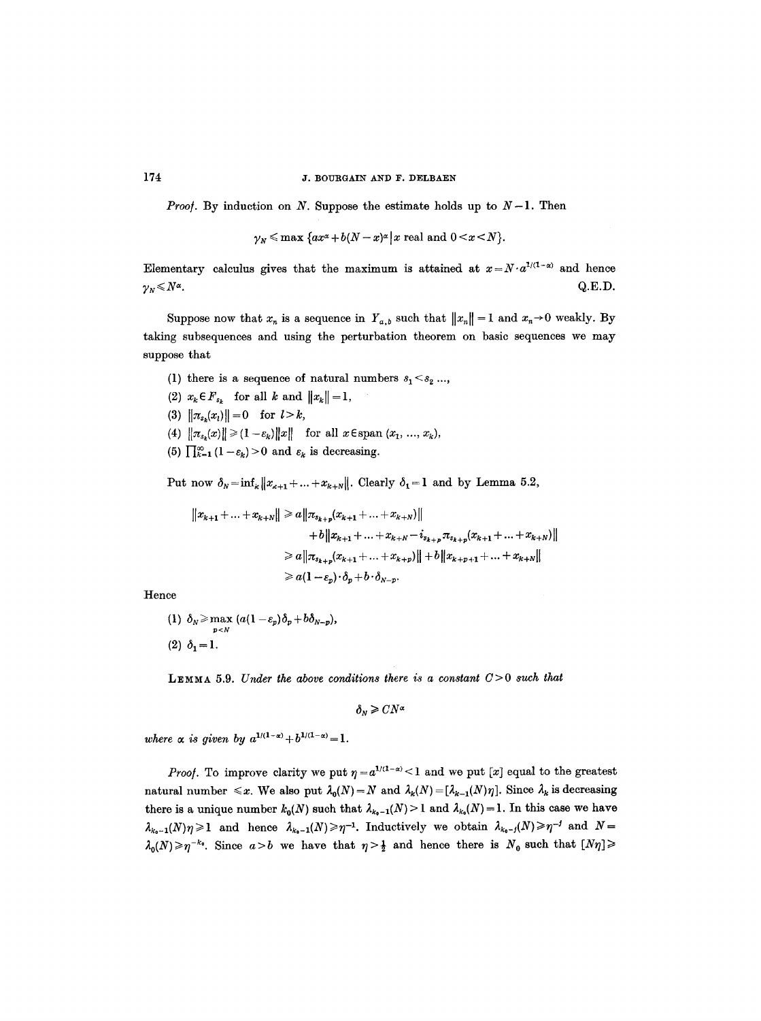*Proof.* By induction on N. Suppose the estimate holds up to  $N-1$ . Then

$$
\gamma_N \leqslant \max \left\{ ax^{\alpha} + b(N-x)^{\alpha} \right\} x \text{ real and } 0 < x < N \right\}.
$$

Elementary calculus gives that the maximum is attained at  $x = N \cdot a^{1/(1-\alpha)}$  and hence  $\gamma_N \leq N^{\alpha}$ . Q.E.D.

Suppose now that  $x_n$  is a sequence in  $Y_{a,b}$  such that  $||x_n|| = 1$  and  $x_n \to 0$  weakly. By taking subsequences and using the perturbation theorem on basic sequences we may suppose that

- (1) there is a sequence of natural numbers  $s_1 < s_2 \ldots$ ,
- (2)  $x_k \in F_{s_k}$  for all k and  $||x_k|| = 1$ ,
- (3)  $\|\pi_{s_i}(x_i)\| = 0$  for  $l > k$ ,
- (4)  $\|\pi_{s_k}(x)\| \geq (1-\varepsilon_k)\|x\|$  for all  $x \in \text{span } (x_1, ..., x_k)$ ,
- (5)  $\prod_{k=1}^{\infty} (1 \varepsilon_k) > 0$  and  $\varepsilon_k$  is decreasing.

Put now  $\delta_N = \inf_k ||x_{k+1} + ... + x_{k+N}||$ . Clearly  $\delta_1 = 1$  and by Lemma 5.2,

$$
||x_{k+1} + ... + x_{k+N}|| \ge a||\pi_{s_{k+p}}(x_{k+1} + ... + x_{k+N})||
$$
  
+  $b||x_{k+1} + ... + x_{k+N} - i_{s_{k+p}}\pi_{s_{k+p}}(x_{k+1} + ... + x_{k+N})||$   
 $\ge a||\pi_{s_{k+p}}(x_{k+1} + ... + x_{k+p})|| + b||x_{k+p+1} + ... + x_{k+N}||$   
 $\ge a(1 - \varepsilon_p) \cdot \delta_p + b \cdot \delta_{N-p}.$ 

Hence

(1)  $\delta_N \ge \max_{p < N} \left( a(1 - \varepsilon_p) \delta_p + b \delta_{N-p} \right),$ (2)  $\delta_1 = 1$ .

**LEMMA** 5.9. *Under the above conditions there is a constant*  $C>0$  *such that* 

 $\delta_y \geq CN^{\alpha}$ 

*where*  $\alpha$  *is given by*  $a^{1/(1-\alpha)} + b^{1/(1-\alpha)} = 1$ .

*Proof.* To improve clarity we put  $\eta = a^{1/(1-\alpha)} < 1$  and we put [x] equal to the greatest natural number  $\leq x$ . We also put  $\lambda_0(N)=N$  and  $\lambda_k(N)=[\lambda_{k-1}(N)\eta]$ . Since  $\lambda_k$  is decreasing there is a unique number  $k_0(N)$  such that  $\lambda_{k_0-1}(N) > 1$  and  $\lambda_{k_0}(N) = 1$ . In this case we have  $\lambda_{k_0-1}(N)\eta \geq 1$  and hence  $\lambda_{k_0-1}(N)\geq \eta^{-1}$ . Inductively we obtain  $\lambda_{k_0-1}(N)\geq \eta^{-1}$  and  $N=1$  $\lambda_0(N)\geqslant \eta^{-k_0}$ . Since  $a>b$  we have that  $\eta>\frac{1}{2}$  and hence there is  $N_0$  such that  $[N_\eta]\geqslant$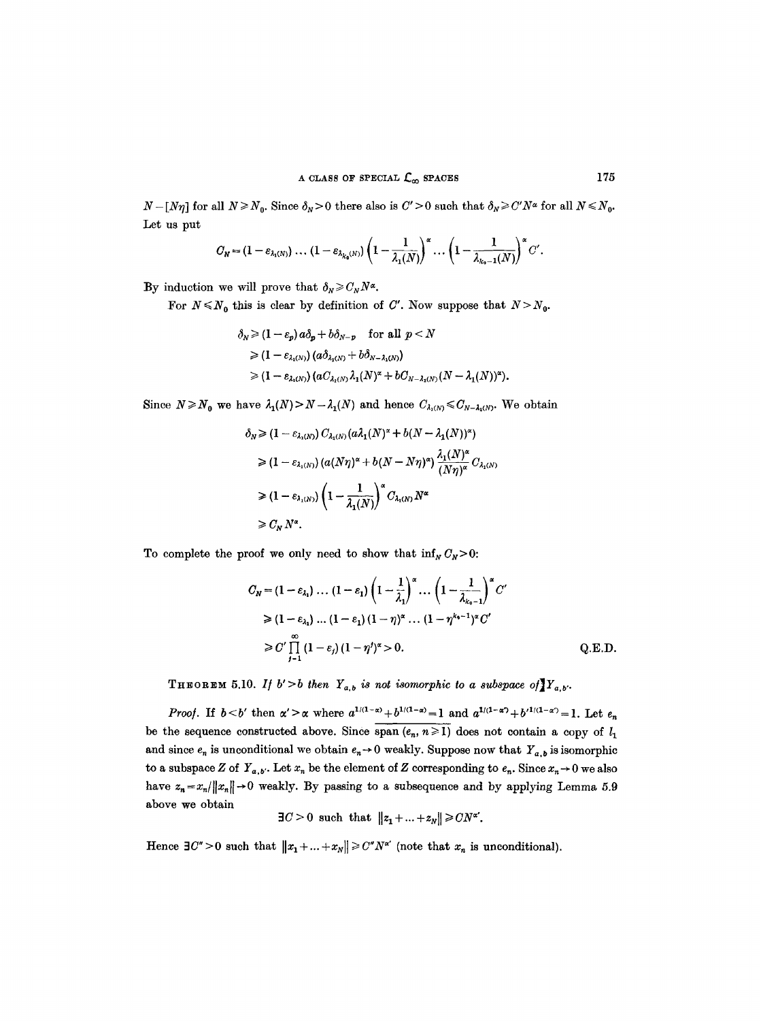$N - [N\eta]$  for all  $N \ge N_0$ . Since  $\delta_N > 0$  there also is  $C' > 0$  such that  $\delta_N \ge C' N^{\alpha}$  for all  $N \le N_0$ . Let us put

$$
C_N = (1 - \varepsilon_{\lambda_1(N)}) \ldots (1 - \varepsilon_{\lambda_{k_0}(N)}) \left(1 - \frac{1}{\lambda_1(N)}\right)^{\alpha} \ldots \left(1 - \frac{1}{\lambda_{k_0-1}(N)}\right)^{\alpha} C'.
$$

By induction we will prove that  $\delta_N \geqslant C_N N^{\alpha}$ .

For  $N \le N_0$  this is clear by definition of C'. Now suppose that  $N > N_0$ .

$$
\delta_N \ge (1 - \varepsilon_p) a \delta_p + b \delta_{N-p} \quad \text{for all } p < N
$$
  
\n
$$
\ge (1 - \varepsilon_{\lambda_1(N)}) (a \delta_{\lambda_1(N)} + b \delta_{N-\lambda_1(N)})
$$
  
\n
$$
\ge (1 - \varepsilon_{\lambda_1(N)}) (a C_{\lambda_1(N)} \lambda_1(N)^{\alpha} + b C_{N-\lambda_1(N)} (N - \lambda_1(N))^{\alpha}).
$$

Since  $N \ge N_0$  we have  $\lambda_1(N) > N - \lambda_1(N)$  and hence  $C_{\lambda_1(N)} \le C_{N-\lambda_1(N)}$ . We obtain

$$
\delta_N \geq (1 - \varepsilon_{\lambda_1(N)}) C_{\lambda_1(N)} (a\lambda_1(N)^{\alpha} + b(N - \lambda_1(N))^{\alpha})
$$
  
\n
$$
\geq (1 - \varepsilon_{\lambda_1(N)}) (a(N\eta)^{\alpha} + b(N - N\eta)^{\alpha}) \frac{\lambda_1(N)^{\alpha}}{(N\eta)^{\alpha}} C_{\lambda_1(N)}
$$
  
\n
$$
\geq (1 - \varepsilon_{\lambda_1(N)}) \left(1 - \frac{1}{\lambda_1(N)}\right)^{\alpha} C_{\lambda_1(N)} N^{\alpha}
$$
  
\n
$$
\geq C_N N^{\alpha}.
$$

To complete the proof we only need to show that  $\inf_N C_N>0$ :

$$
C_N = (1 - \varepsilon_{\lambda_1}) \dots (1 - \varepsilon_1) \left(1 - \frac{1}{\lambda_1}\right)^{\alpha} \dots \left(1 - \frac{1}{\lambda_{k_0 - 1}}\right)^{\alpha} C'
$$
  
\n
$$
\geq (1 - \varepsilon_{\lambda_1}) \dots (1 - \varepsilon_1) (1 - \eta)^{\alpha} \dots (1 - \eta^{k_0 - 1})^{\alpha} C'
$$
  
\n
$$
\geq C' \prod_{j=1}^{\infty} (1 - \varepsilon_j) (1 - \eta')^{\alpha} > 0.
$$
 Q.E.D.

THEOREM 5.10. If  $b' > b$  then  $Y_{a,b}$  is not isomorphic to a subspace of  $Y_{a,b}$ .

*Proof.* If  $b < b'$  then  $\alpha' > \alpha$  where  $a^{1/(1-\alpha)} + b^{1/(1-\alpha)} = 1$  and  $a^{1/(1-\alpha)} + b'^{1/(1-\alpha)} = 1$ . Let  $e_n$ be the sequence constructed above. Since span  $(e_n, n \ge 1)$  does not contain a copy of  $l_1$ and since  $e_n$  is unconditional we obtain  $e_n \to 0$  weakly. Suppose now that  $Y_{a,b}$  is isomorphic to a subspace Z of  $Y_{a,b}$ . Let  $x_n$  be the element of Z corresponding to  $e_n$ . Since  $x_n \to 0$  we also have  $z_n = x_n / ||x_n|| \rightarrow 0$  weakly. By passing to a subsequence and by applying Lemma 5.9 above we obtain

$$
\exists C \geq 0 \text{ such that } ||z_1 + ... + z_N|| \geq CN^{\alpha'}.
$$

Hence  $\exists C'' > 0$  such that  $||x_1 + ... + x_N|| \geq C''N^{\alpha'}$  (note that  $x_n$  is unconditional).